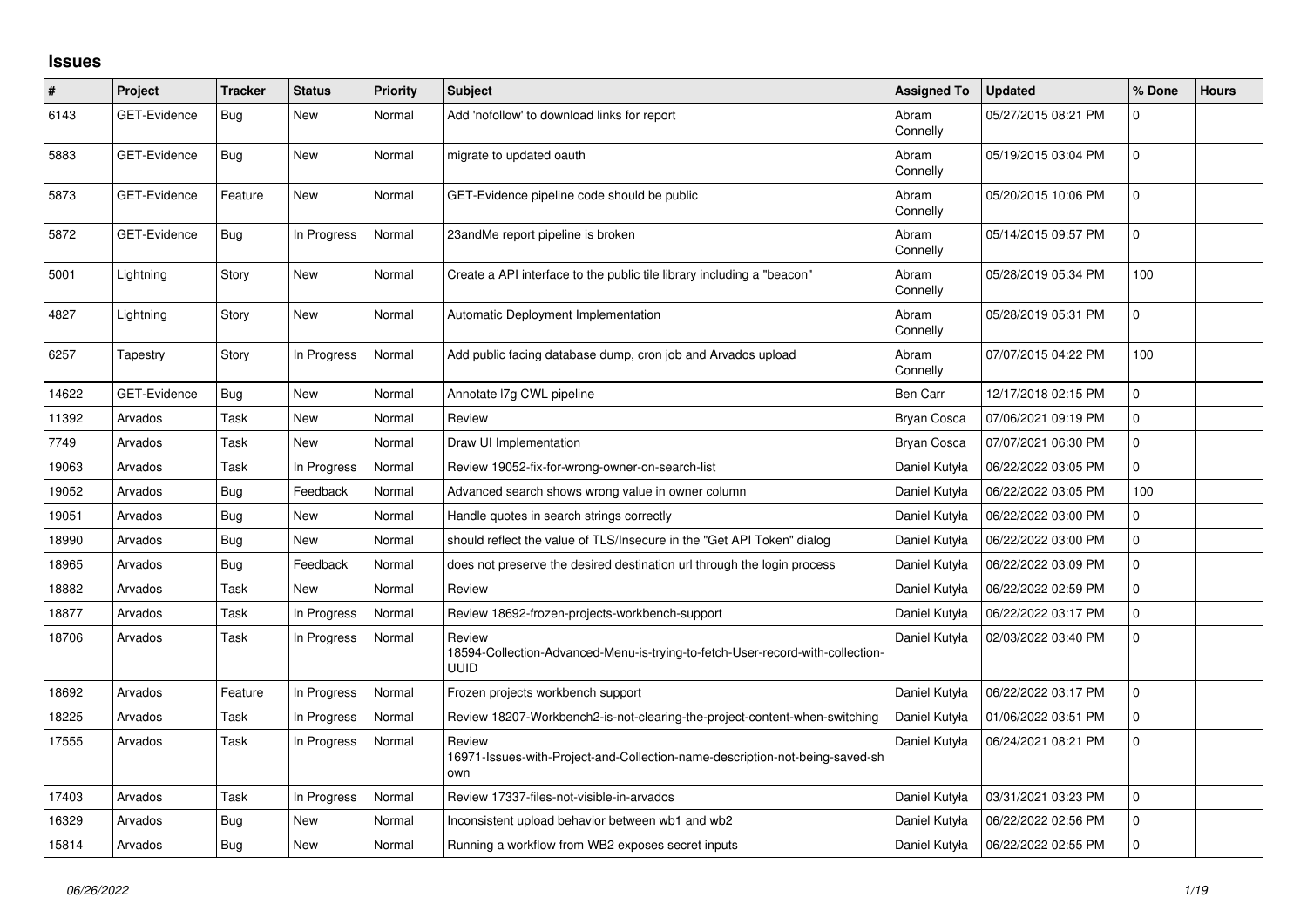## **Issues**

| #     | Project             | <b>Tracker</b> | <b>Status</b> | Priority | <b>Subject</b>                                                                                          | <b>Assigned To</b> | <b>Updated</b>      | % Done      | <b>Hours</b> |
|-------|---------------------|----------------|---------------|----------|---------------------------------------------------------------------------------------------------------|--------------------|---------------------|-------------|--------------|
| 6143  | GET-Evidence        | Bug            | <b>New</b>    | Normal   | Add 'nofollow' to download links for report                                                             | Abram<br>Connelly  | 05/27/2015 08:21 PM | $\Omega$    |              |
| 5883  | <b>GET-Evidence</b> | Bug            | <b>New</b>    | Normal   | migrate to updated oauth                                                                                | Abram<br>Connelly  | 05/19/2015 03:04 PM | $\mathbf 0$ |              |
| 5873  | <b>GET-Evidence</b> | Feature        | <b>New</b>    | Normal   | GET-Evidence pipeline code should be public                                                             | Abram<br>Connelly  | 05/20/2015 10:06 PM | $\mathbf 0$ |              |
| 5872  | GET-Evidence        | Bug            | In Progress   | Normal   | 23andMe report pipeline is broken                                                                       | Abram<br>Connelly  | 05/14/2015 09:57 PM | $\mathbf 0$ |              |
| 5001  | Lightning           | Story          | <b>New</b>    | Normal   | Create a API interface to the public tile library including a "beacon"                                  | Abram<br>Connelly  | 05/28/2019 05:34 PM | 100         |              |
| 4827  | Lightning           | Story          | <b>New</b>    | Normal   | Automatic Deployment Implementation                                                                     | Abram<br>Connelly  | 05/28/2019 05:31 PM | 0           |              |
| 6257  | Tapestry            | Story          | In Progress   | Normal   | Add public facing database dump, cron job and Arvados upload                                            | Abram<br>Connelly  | 07/07/2015 04:22 PM | 100         |              |
| 14622 | <b>GET-Evidence</b> | Bug            | <b>New</b>    | Normal   | Annotate I7g CWL pipeline                                                                               | Ben Carr           | 12/17/2018 02:15 PM | 0           |              |
| 11392 | Arvados             | Task           | <b>New</b>    | Normal   | Review                                                                                                  | <b>Bryan Cosca</b> | 07/06/2021 09:19 PM | 0           |              |
| 7749  | Arvados             | Task           | <b>New</b>    | Normal   | Draw UI Implementation                                                                                  | <b>Bryan Cosca</b> | 07/07/2021 06:30 PM | $\Omega$    |              |
| 19063 | Arvados             | Task           | In Progress   | Normal   | Review 19052-fix-for-wrong-owner-on-search-list                                                         | Daniel Kutyła      | 06/22/2022 03:05 PM | $\mathbf 0$ |              |
| 19052 | Arvados             | <b>Bug</b>     | Feedback      | Normal   | Advanced search shows wrong value in owner column                                                       | Daniel Kutyła      | 06/22/2022 03:05 PM | 100         |              |
| 19051 | Arvados             | <b>Bug</b>     | <b>New</b>    | Normal   | Handle quotes in search strings correctly                                                               | Daniel Kutyła      | 06/22/2022 03:00 PM | 0           |              |
| 18990 | Arvados             | Bug            | <b>New</b>    | Normal   | should reflect the value of TLS/Insecure in the "Get API Token" dialog                                  | Daniel Kutyła      | 06/22/2022 03:00 PM | 0           |              |
| 18965 | Arvados             | <b>Bug</b>     | Feedback      | Normal   | does not preserve the desired destination url through the login process                                 | Daniel Kutyła      | 06/22/2022 03:09 PM | 0           |              |
| 18882 | Arvados             | Task           | New           | Normal   | Review                                                                                                  | Daniel Kutyła      | 06/22/2022 02:59 PM | $\Omega$    |              |
| 18877 | Arvados             | Task           | In Progress   | Normal   | Review 18692-frozen-projects-workbench-support                                                          | Daniel Kutyła      | 06/22/2022 03:17 PM | 0           |              |
| 18706 | Arvados             | Task           | In Progress   | Normal   | Review<br>18594-Collection-Advanced-Menu-is-trying-to-fetch-User-record-with-collection-<br><b>UUID</b> | Daniel Kutyła      | 02/03/2022 03:40 PM | $\mathbf 0$ |              |
| 18692 | Arvados             | Feature        | In Progress   | Normal   | Frozen projects workbench support                                                                       | Daniel Kutyła      | 06/22/2022 03:17 PM | $\mathbf 0$ |              |
| 18225 | Arvados             | Task           | In Progress   | Normal   | Review 18207-Workbench2-is-not-clearing-the-project-content-when-switching                              | Daniel Kutyła      | 01/06/2022 03:51 PM | $\Omega$    |              |
| 17555 | Arvados             | Task           | In Progress   | Normal   | Review<br>16971-Issues-with-Project-and-Collection-name-description-not-being-saved-sh<br>own           | Daniel Kutyła      | 06/24/2021 08:21 PM | $\mathbf 0$ |              |
| 17403 | Arvados             | Task           | In Progress   | Normal   | Review 17337-files-not-visible-in-arvados                                                               | Daniel Kutyła      | 03/31/2021 03:23 PM | $\mathbf 0$ |              |
| 16329 | Arvados             | Bug            | <b>New</b>    | Normal   | Inconsistent upload behavior between wb1 and wb2                                                        | Daniel Kutyła      | 06/22/2022 02:56 PM | 0           |              |
| 15814 | Arvados             | <b>Bug</b>     | <b>New</b>    | Normal   | Running a workflow from WB2 exposes secret inputs                                                       | Daniel Kutyła      | 06/22/2022 02:55 PM | 0           |              |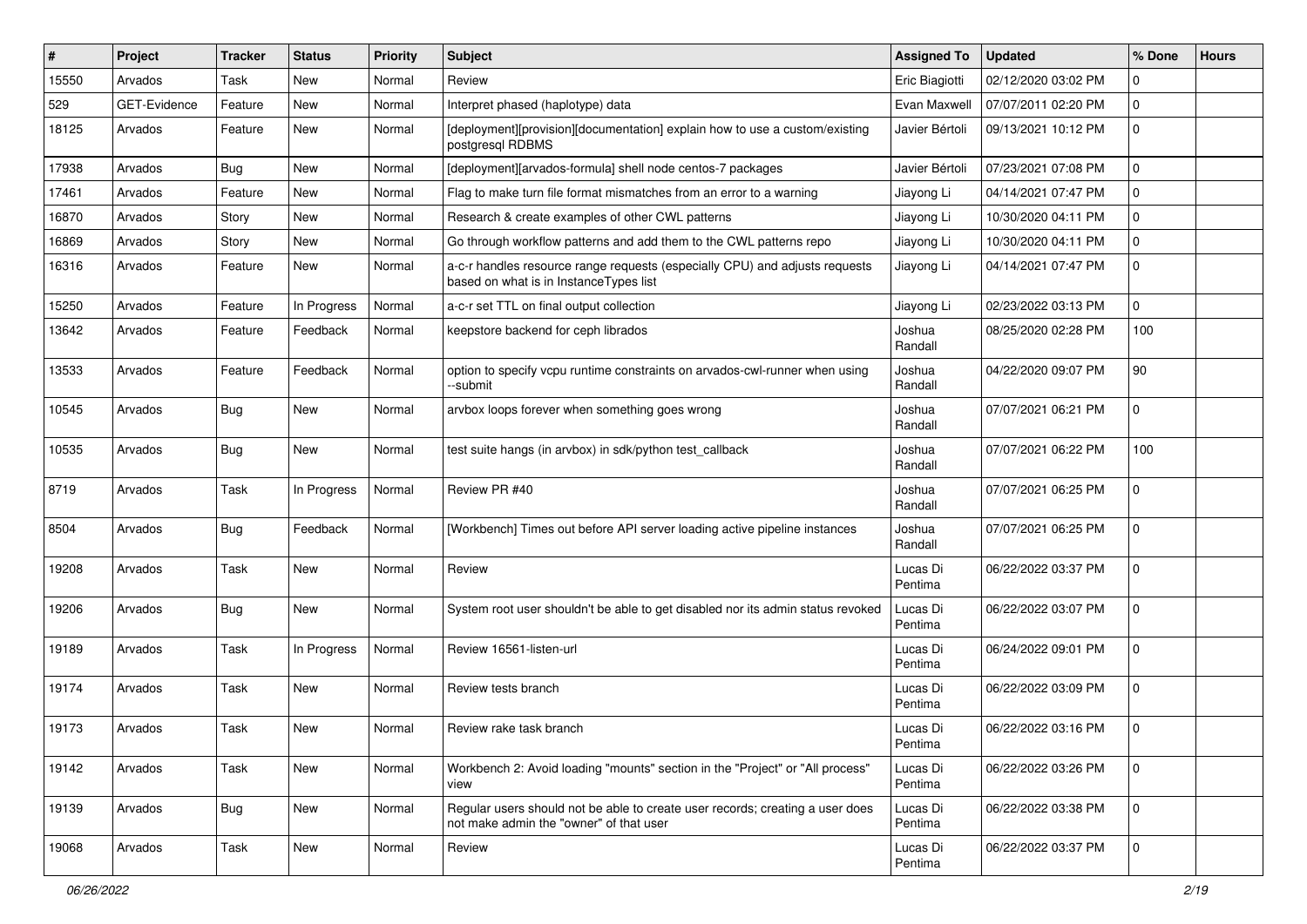| $\sharp$ | Project      | <b>Tracker</b> | <b>Status</b> | Priority | <b>Subject</b>                                                                                                           | <b>Assigned To</b>  | <b>Updated</b>      | % Done      | <b>Hours</b> |
|----------|--------------|----------------|---------------|----------|--------------------------------------------------------------------------------------------------------------------------|---------------------|---------------------|-------------|--------------|
| 15550    | Arvados      | Task           | New           | Normal   | Review                                                                                                                   | Eric Biagiotti      | 02/12/2020 03:02 PM | 0           |              |
| 529      | GET-Evidence | Feature        | <b>New</b>    | Normal   | Interpret phased (haplotype) data                                                                                        | Evan Maxwell        | 07/07/2011 02:20 PM | 0           |              |
| 18125    | Arvados      | Feature        | New           | Normal   | [deployment][provision][documentation] explain how to use a custom/existing<br>postgresql RDBMS                          | Javier Bértoli      | 09/13/2021 10:12 PM | 0           |              |
| 17938    | Arvados      | Bug            | <b>New</b>    | Normal   | [deployment][arvados-formula] shell node centos-7 packages                                                               | Javier Bértoli      | 07/23/2021 07:08 PM | 0           |              |
| 17461    | Arvados      | Feature        | New           | Normal   | Flag to make turn file format mismatches from an error to a warning                                                      | Jiayong Li          | 04/14/2021 07:47 PM | 0           |              |
| 16870    | Arvados      | Story          | New           | Normal   | Research & create examples of other CWL patterns                                                                         | Jiayong Li          | 10/30/2020 04:11 PM | 0           |              |
| 16869    | Arvados      | Story          | <b>New</b>    | Normal   | Go through workflow patterns and add them to the CWL patterns repo                                                       | Jiayong Li          | 10/30/2020 04:11 PM | 0           |              |
| 16316    | Arvados      | Feature        | New           | Normal   | a-c-r handles resource range requests (especially CPU) and adjusts requests<br>based on what is in InstanceTypes list    | Jiayong Li          | 04/14/2021 07:47 PM | 0           |              |
| 15250    | Arvados      | Feature        | In Progress   | Normal   | a-c-r set TTL on final output collection                                                                                 | Jiayong Li          | 02/23/2022 03:13 PM | 0           |              |
| 13642    | Arvados      | Feature        | Feedback      | Normal   | keepstore backend for ceph librados                                                                                      | Joshua<br>Randall   | 08/25/2020 02:28 PM | 100         |              |
| 13533    | Arvados      | Feature        | Feedback      | Normal   | option to specify vcpu runtime constraints on arvados-cwl-runner when using<br>-submit                                   | Joshua<br>Randall   | 04/22/2020 09:07 PM | 90          |              |
| 10545    | Arvados      | Bug            | <b>New</b>    | Normal   | arvbox loops forever when something goes wrong                                                                           | Joshua<br>Randall   | 07/07/2021 06:21 PM | 0           |              |
| 10535    | Arvados      | Bug            | New           | Normal   | test suite hangs (in arvbox) in sdk/python test_callback                                                                 | Joshua<br>Randall   | 07/07/2021 06:22 PM | 100         |              |
| 8719     | Arvados      | Task           | In Progress   | Normal   | Review PR #40                                                                                                            | Joshua<br>Randall   | 07/07/2021 06:25 PM | 0           |              |
| 8504     | Arvados      | Bug            | Feedback      | Normal   | [Workbench] Times out before API server loading active pipeline instances                                                | Joshua<br>Randall   | 07/07/2021 06:25 PM | 0           |              |
| 19208    | Arvados      | Task           | <b>New</b>    | Normal   | Review                                                                                                                   | Lucas Di<br>Pentima | 06/22/2022 03:37 PM | 0           |              |
| 19206    | Arvados      | Bug            | New           | Normal   | System root user shouldn't be able to get disabled nor its admin status revoked                                          | Lucas Di<br>Pentima | 06/22/2022 03:07 PM | 0           |              |
| 19189    | Arvados      | Task           | In Progress   | Normal   | Review 16561-listen-url                                                                                                  | Lucas Di<br>Pentima | 06/24/2022 09:01 PM | 0           |              |
| 19174    | Arvados      | Task           | <b>New</b>    | Normal   | Review tests branch                                                                                                      | Lucas Di<br>Pentima | 06/22/2022 03:09 PM | 0           |              |
| 19173    | Arvados      | Task           | New           | Normal   | Review rake task branch                                                                                                  | Lucas Di<br>Pentima | 06/22/2022 03:16 PM | 0           |              |
| 19142    | Arvados      | Task           | New           | Normal   | Workbench 2: Avoid loading "mounts" section in the "Project" or "All process"<br>view                                    | Lucas Di<br>Pentima | 06/22/2022 03:26 PM | 0           |              |
| 19139    | Arvados      | Bug            | New           | Normal   | Regular users should not be able to create user records; creating a user does<br>not make admin the "owner" of that user | Lucas Di<br>Pentima | 06/22/2022 03:38 PM | $\mathbf 0$ |              |
| 19068    | Arvados      | Task           | New           | Normal   | Review                                                                                                                   | Lucas Di<br>Pentima | 06/22/2022 03:37 PM | $\mathbf 0$ |              |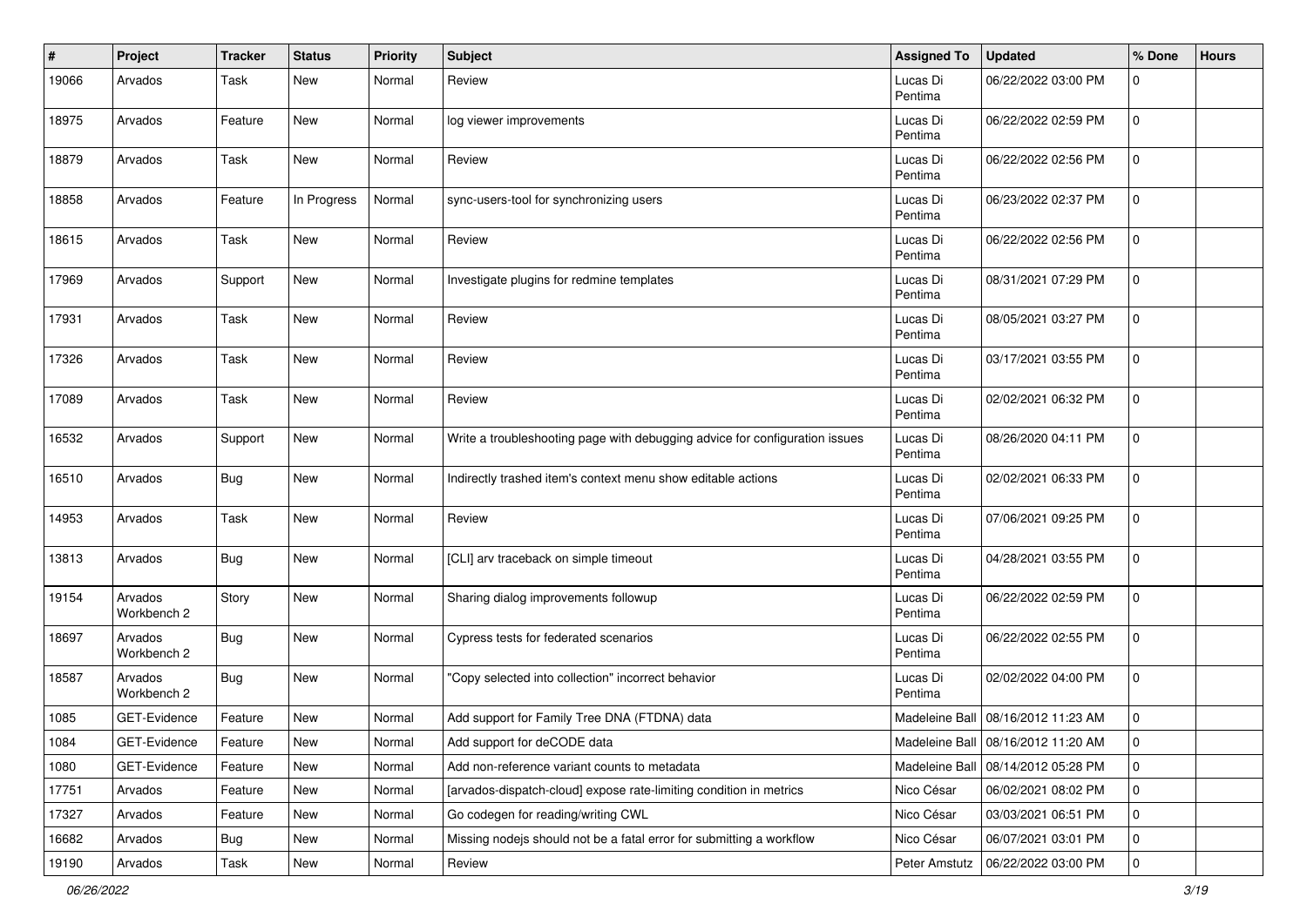| #     | Project                | <b>Tracker</b> | <b>Status</b> | <b>Priority</b> | <b>Subject</b>                                                              | <b>Assigned To</b>  | <b>Updated</b>                     | % Done      | <b>Hours</b> |
|-------|------------------------|----------------|---------------|-----------------|-----------------------------------------------------------------------------|---------------------|------------------------------------|-------------|--------------|
| 19066 | Arvados                | Task           | <b>New</b>    | Normal          | Review                                                                      | Lucas Di<br>Pentima | 06/22/2022 03:00 PM                | 0           |              |
| 18975 | Arvados                | Feature        | <b>New</b>    | Normal          | log viewer improvements                                                     | Lucas Di<br>Pentima | 06/22/2022 02:59 PM                | $\mathbf 0$ |              |
| 18879 | Arvados                | Task           | New           | Normal          | Review                                                                      | Lucas Di<br>Pentima | 06/22/2022 02:56 PM                | $\mathbf 0$ |              |
| 18858 | Arvados                | Feature        | In Progress   | Normal          | sync-users-tool for synchronizing users                                     | Lucas Di<br>Pentima | 06/23/2022 02:37 PM                | $\mathbf 0$ |              |
| 18615 | Arvados                | Task           | New           | Normal          | Review                                                                      | Lucas Di<br>Pentima | 06/22/2022 02:56 PM                | $\mathbf 0$ |              |
| 17969 | Arvados                | Support        | New           | Normal          | Investigate plugins for redmine templates                                   | Lucas Di<br>Pentima | 08/31/2021 07:29 PM                | $\mathbf 0$ |              |
| 17931 | Arvados                | Task           | <b>New</b>    | Normal          | Review                                                                      | Lucas Di<br>Pentima | 08/05/2021 03:27 PM                | 0           |              |
| 17326 | Arvados                | Task           | <b>New</b>    | Normal          | Review                                                                      | Lucas Di<br>Pentima | 03/17/2021 03:55 PM                | 0           |              |
| 17089 | Arvados                | Task           | <b>New</b>    | Normal          | Review                                                                      | Lucas Di<br>Pentima | 02/02/2021 06:32 PM                | $\mathbf 0$ |              |
| 16532 | Arvados                | Support        | <b>New</b>    | Normal          | Write a troubleshooting page with debugging advice for configuration issues | Lucas Di<br>Pentima | 08/26/2020 04:11 PM                | $\mathbf 0$ |              |
| 16510 | Arvados                | Bug            | <b>New</b>    | Normal          | Indirectly trashed item's context menu show editable actions                | Lucas Di<br>Pentima | 02/02/2021 06:33 PM                | $\mathbf 0$ |              |
| 14953 | Arvados                | Task           | <b>New</b>    | Normal          | Review                                                                      | Lucas Di<br>Pentima | 07/06/2021 09:25 PM                | $\mathbf 0$ |              |
| 13813 | Arvados                | <b>Bug</b>     | New           | Normal          | [CLI] arv traceback on simple timeout                                       | Lucas Di<br>Pentima | 04/28/2021 03:55 PM                | $\mathbf 0$ |              |
| 19154 | Arvados<br>Workbench 2 | Story          | <b>New</b>    | Normal          | Sharing dialog improvements followup                                        | Lucas Di<br>Pentima | 06/22/2022 02:59 PM                | $\mathbf 0$ |              |
| 18697 | Arvados<br>Workbench 2 | Bug            | <b>New</b>    | Normal          | Cypress tests for federated scenarios                                       | Lucas Di<br>Pentima | 06/22/2022 02:55 PM                | 0           |              |
| 18587 | Arvados<br>Workbench 2 | Bug            | <b>New</b>    | Normal          | "Copy selected into collection" incorrect behavior                          | Lucas Di<br>Pentima | 02/02/2022 04:00 PM                | $\mathbf 0$ |              |
| 1085  | GET-Evidence           | Feature        | <b>New</b>    | Normal          | Add support for Family Tree DNA (FTDNA) data                                |                     | Madeleine Ball 08/16/2012 11:23 AM | 0           |              |
| 1084  | GET-Evidence           | Feature        | <b>New</b>    | Normal          | Add support for deCODE data                                                 |                     | Madeleine Ball 08/16/2012 11:20 AM | 0           |              |
| 1080  | GET-Evidence           | Feature        | New           | Normal          | Add non-reference variant counts to metadata                                | Madeleine Ball      | 08/14/2012 05:28 PM                | $\mathbf 0$ |              |
| 17751 | Arvados                | Feature        | New           | Normal          | [arvados-dispatch-cloud] expose rate-limiting condition in metrics          | Nico César          | 06/02/2021 08:02 PM                | 0           |              |
| 17327 | Arvados                | Feature        | New           | Normal          | Go codegen for reading/writing CWL                                          | Nico César          | 03/03/2021 06:51 PM                | 0           |              |
| 16682 | Arvados                | <b>Bug</b>     | New           | Normal          | Missing nodejs should not be a fatal error for submitting a workflow        | Nico César          | 06/07/2021 03:01 PM                | 0           |              |
| 19190 | Arvados                | Task           | New           | Normal          | Review                                                                      | Peter Amstutz       | 06/22/2022 03:00 PM                | 0           |              |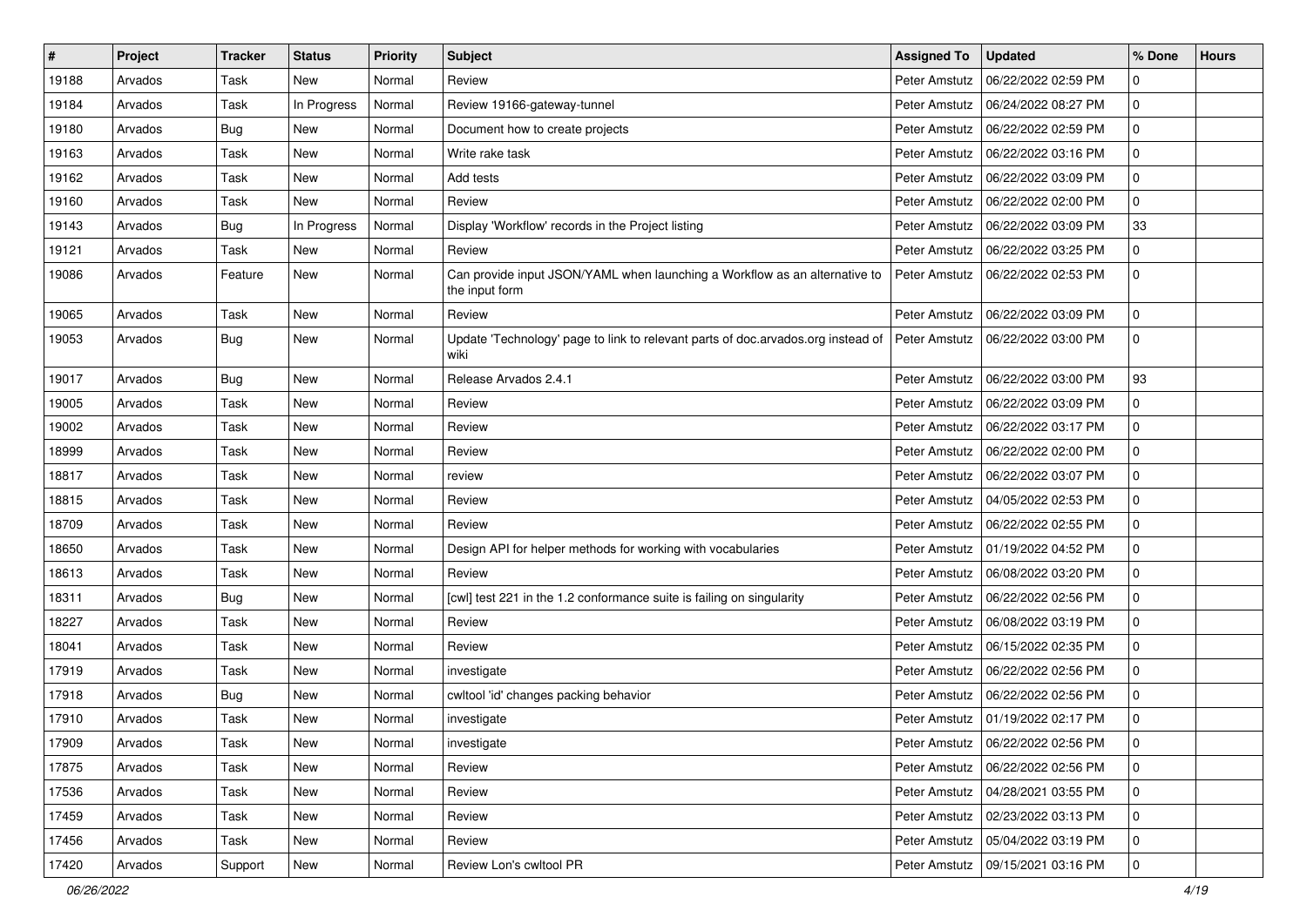| ∦     | Project | <b>Tracker</b> | <b>Status</b> | <b>Priority</b> | Subject                                                                                      | <b>Assigned To</b> | <b>Updated</b>                      | % Done      | <b>Hours</b> |
|-------|---------|----------------|---------------|-----------------|----------------------------------------------------------------------------------------------|--------------------|-------------------------------------|-------------|--------------|
| 19188 | Arvados | Task           | New           | Normal          | Review                                                                                       | Peter Amstutz      | 06/22/2022 02:59 PM                 | $\mathbf 0$ |              |
| 19184 | Arvados | Task           | In Progress   | Normal          | Review 19166-gateway-tunnel                                                                  | Peter Amstutz      | 06/24/2022 08:27 PM                 | $\Omega$    |              |
| 19180 | Arvados | Bug            | <b>New</b>    | Normal          | Document how to create projects                                                              | Peter Amstutz      | 06/22/2022 02:59 PM                 | $\mathbf 0$ |              |
| 19163 | Arvados | Task           | <b>New</b>    | Normal          | Write rake task                                                                              | Peter Amstutz      | 06/22/2022 03:16 PM                 | 0           |              |
| 19162 | Arvados | Task           | <b>New</b>    | Normal          | Add tests                                                                                    | Peter Amstutz      | 06/22/2022 03:09 PM                 | 0           |              |
| 19160 | Arvados | Task           | <b>New</b>    | Normal          | Review                                                                                       | Peter Amstutz      | 06/22/2022 02:00 PM                 | 0           |              |
| 19143 | Arvados | Bug            | In Progress   | Normal          | Display 'Workflow' records in the Project listing                                            | Peter Amstutz      | 06/22/2022 03:09 PM                 | 33          |              |
| 19121 | Arvados | Task           | <b>New</b>    | Normal          | Review                                                                                       | Peter Amstutz      | 06/22/2022 03:25 PM                 | 0           |              |
| 19086 | Arvados | Feature        | <b>New</b>    | Normal          | Can provide input JSON/YAML when launching a Workflow as an alternative to<br>the input form | Peter Amstutz      | 06/22/2022 02:53 PM                 | 0           |              |
| 19065 | Arvados | Task           | <b>New</b>    | Normal          | Review                                                                                       | Peter Amstutz      | 06/22/2022 03:09 PM                 | $\mathbf 0$ |              |
| 19053 | Arvados | Bug            | <b>New</b>    | Normal          | Update 'Technology' page to link to relevant parts of doc.arvados.org instead of<br>wiki     | Peter Amstutz      | 06/22/2022 03:00 PM                 | $\mathbf 0$ |              |
| 19017 | Arvados | Bug            | New           | Normal          | Release Arvados 2.4.1                                                                        | Peter Amstutz      | 06/22/2022 03:00 PM                 | 93          |              |
| 19005 | Arvados | Task           | <b>New</b>    | Normal          | Review                                                                                       | Peter Amstutz      | 06/22/2022 03:09 PM                 | 0           |              |
| 19002 | Arvados | Task           | <b>New</b>    | Normal          | Review                                                                                       | Peter Amstutz      | 06/22/2022 03:17 PM                 | 0           |              |
| 18999 | Arvados | Task           | <b>New</b>    | Normal          | Review                                                                                       | Peter Amstutz      | 06/22/2022 02:00 PM                 | 0           |              |
| 18817 | Arvados | Task           | <b>New</b>    | Normal          | review                                                                                       | Peter Amstutz      | 06/22/2022 03:07 PM                 | 0           |              |
| 18815 | Arvados | Task           | <b>New</b>    | Normal          | Review                                                                                       | Peter Amstutz      | 04/05/2022 02:53 PM                 | $\mathbf 0$ |              |
| 18709 | Arvados | Task           | <b>New</b>    | Normal          | Review                                                                                       | Peter Amstutz      | 06/22/2022 02:55 PM                 | 0           |              |
| 18650 | Arvados | Task           | <b>New</b>    | Normal          | Design API for helper methods for working with vocabularies                                  | Peter Amstutz      | 01/19/2022 04:52 PM                 | 0           |              |
| 18613 | Arvados | Task           | <b>New</b>    | Normal          | Review                                                                                       | Peter Amstutz      | 06/08/2022 03:20 PM                 | 0           |              |
| 18311 | Arvados | Bug            | <b>New</b>    | Normal          | [cwl] test 221 in the 1.2 conformance suite is failing on singularity                        | Peter Amstutz      | 06/22/2022 02:56 PM                 | $\mathbf 0$ |              |
| 18227 | Arvados | Task           | <b>New</b>    | Normal          | Review                                                                                       | Peter Amstutz      | 06/08/2022 03:19 PM                 | $\mathbf 0$ |              |
| 18041 | Arvados | Task           | <b>New</b>    | Normal          | Review                                                                                       | Peter Amstutz      | 06/15/2022 02:35 PM                 | 0           |              |
| 17919 | Arvados | Task           | <b>New</b>    | Normal          | investigate                                                                                  | Peter Amstutz      | 06/22/2022 02:56 PM                 | 0           |              |
| 17918 | Arvados | Bug            | <b>New</b>    | Normal          | cwltool 'id' changes packing behavior                                                        | Peter Amstutz      | 06/22/2022 02:56 PM                 | 0           |              |
| 17910 | Arvados | Task           | <b>New</b>    | Normal          | investigate                                                                                  | Peter Amstutz      | 01/19/2022 02:17 PM                 | 0           |              |
| 17909 | Arvados | Task           | New           | Normal          | investigate                                                                                  |                    | Peter Amstutz   06/22/2022 02:56 PM | l 0         |              |
| 17875 | Arvados | Task           | New           | Normal          | Review                                                                                       | Peter Amstutz      | 06/22/2022 02:56 PM                 | $\mathbf 0$ |              |
| 17536 | Arvados | Task           | <b>New</b>    | Normal          | Review                                                                                       | Peter Amstutz      | 04/28/2021 03:55 PM                 | 0           |              |
| 17459 | Arvados | Task           | <b>New</b>    | Normal          | Review                                                                                       | Peter Amstutz      | 02/23/2022 03:13 PM                 | $\mathbf 0$ |              |
| 17456 | Arvados | Task           | New           | Normal          | Review                                                                                       | Peter Amstutz      | 05/04/2022 03:19 PM                 | $\mathbf 0$ |              |
| 17420 | Arvados | Support        | New           | Normal          | Review Lon's cwltool PR                                                                      | Peter Amstutz      | 09/15/2021 03:16 PM                 | 0           |              |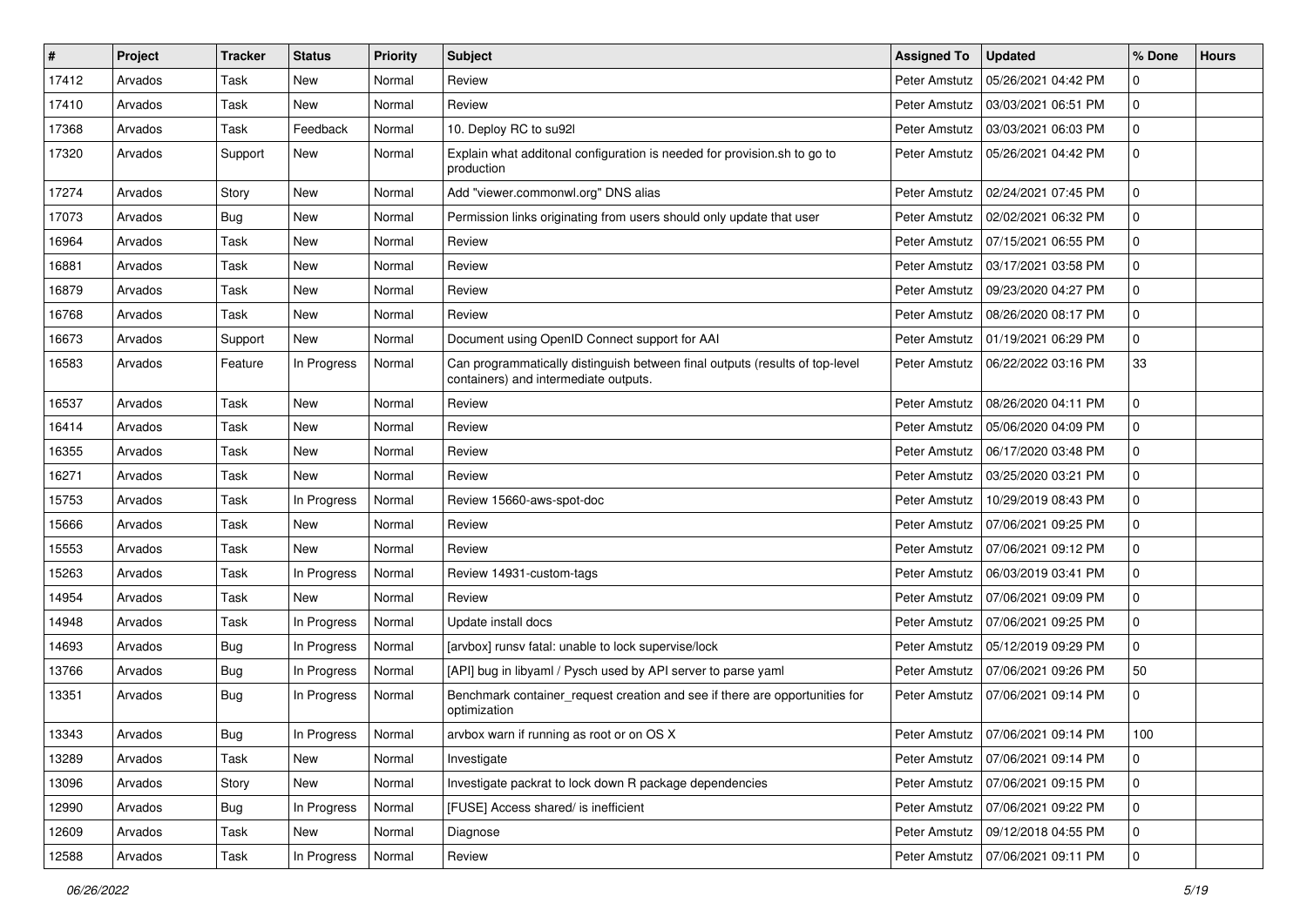| #     | Project | <b>Tracker</b> | <b>Status</b> | Priority | <b>Subject</b>                                                                                                        | <b>Assigned To</b> | <b>Updated</b>                      | % Done      | <b>Hours</b> |
|-------|---------|----------------|---------------|----------|-----------------------------------------------------------------------------------------------------------------------|--------------------|-------------------------------------|-------------|--------------|
| 17412 | Arvados | Task           | New           | Normal   | Review                                                                                                                | Peter Amstutz      | 05/26/2021 04:42 PM                 | 0           |              |
| 17410 | Arvados | Task           | <b>New</b>    | Normal   | Review                                                                                                                | Peter Amstutz      | 03/03/2021 06:51 PM                 | 0           |              |
| 17368 | Arvados | Task           | Feedback      | Normal   | 10. Deploy RC to su92l                                                                                                | Peter Amstutz      | 03/03/2021 06:03 PM                 | 0           |              |
| 17320 | Arvados | Support        | New           | Normal   | Explain what additonal configuration is needed for provision.sh to go to<br>production                                | Peter Amstutz      | 05/26/2021 04:42 PM                 | $\mathbf 0$ |              |
| 17274 | Arvados | Story          | New           | Normal   | Add "viewer.commonwl.org" DNS alias                                                                                   | Peter Amstutz      | 02/24/2021 07:45 PM                 | 0           |              |
| 17073 | Arvados | <b>Bug</b>     | New           | Normal   | Permission links originating from users should only update that user                                                  | Peter Amstutz      | 02/02/2021 06:32 PM                 | 0           |              |
| 16964 | Arvados | Task           | New           | Normal   | Review                                                                                                                | Peter Amstutz      | 07/15/2021 06:55 PM                 | 0           |              |
| 16881 | Arvados | Task           | New           | Normal   | Review                                                                                                                | Peter Amstutz      | 03/17/2021 03:58 PM                 | 0           |              |
| 16879 | Arvados | Task           | <b>New</b>    | Normal   | Review                                                                                                                | Peter Amstutz      | 09/23/2020 04:27 PM                 | 0           |              |
| 16768 | Arvados | Task           | New           | Normal   | Review                                                                                                                | Peter Amstutz      | 08/26/2020 08:17 PM                 | 0           |              |
| 16673 | Arvados | Support        | New           | Normal   | Document using OpenID Connect support for AAI                                                                         | Peter Amstutz      | 01/19/2021 06:29 PM                 | 0           |              |
| 16583 | Arvados | Feature        | In Progress   | Normal   | Can programmatically distinguish between final outputs (results of top-level<br>containers) and intermediate outputs. | Peter Amstutz      | 06/22/2022 03:16 PM                 | 33          |              |
| 16537 | Arvados | Task           | <b>New</b>    | Normal   | Review                                                                                                                | Peter Amstutz      | 08/26/2020 04:11 PM                 | 0           |              |
| 16414 | Arvados | Task           | New           | Normal   | Review                                                                                                                | Peter Amstutz      | 05/06/2020 04:09 PM                 | 0           |              |
| 16355 | Arvados | Task           | New           | Normal   | Review                                                                                                                | Peter Amstutz      | 06/17/2020 03:48 PM                 | 0           |              |
| 16271 | Arvados | Task           | <b>New</b>    | Normal   | Review                                                                                                                | Peter Amstutz      | 03/25/2020 03:21 PM                 | 0           |              |
| 15753 | Arvados | Task           | In Progress   | Normal   | Review 15660-aws-spot-doc                                                                                             | Peter Amstutz      | 10/29/2019 08:43 PM                 | 0           |              |
| 15666 | Arvados | Task           | <b>New</b>    | Normal   | Review                                                                                                                | Peter Amstutz      | 07/06/2021 09:25 PM                 | 0           |              |
| 15553 | Arvados | Task           | New           | Normal   | Review                                                                                                                | Peter Amstutz      | 07/06/2021 09:12 PM                 | 0           |              |
| 15263 | Arvados | Task           | In Progress   | Normal   | Review 14931-custom-tags                                                                                              | Peter Amstutz      | 06/03/2019 03:41 PM                 | 0           |              |
| 14954 | Arvados | Task           | New           | Normal   | Review                                                                                                                | Peter Amstutz      | 07/06/2021 09:09 PM                 | 0           |              |
| 14948 | Arvados | Task           | In Progress   | Normal   | Update install docs                                                                                                   | Peter Amstutz      | 07/06/2021 09:25 PM                 | 0           |              |
| 14693 | Arvados | Bug            | In Progress   | Normal   | [arvbox] runsv fatal: unable to lock supervise/lock                                                                   | Peter Amstutz      | 05/12/2019 09:29 PM                 | 0           |              |
| 13766 | Arvados | <b>Bug</b>     | In Progress   | Normal   | [API] bug in libyaml / Pysch used by API server to parse yaml                                                         | Peter Amstutz      | 07/06/2021 09:26 PM                 | 50          |              |
| 13351 | Arvados | <b>Bug</b>     | In Progress   | Normal   | Benchmark container_request creation and see if there are opportunities for<br>optimization                           | Peter Amstutz      | 07/06/2021 09:14 PM                 | 0           |              |
| 13343 | Arvados | Bug            | In Progress   | Normal   | arvbox warn if running as root or on OS X                                                                             |                    | Peter Amstutz   07/06/2021 09:14 PM | 100         |              |
| 13289 | Arvados | Task           | New           | Normal   | Investigate                                                                                                           | Peter Amstutz      | 07/06/2021 09:14 PM                 | 0           |              |
| 13096 | Arvados | Story          | New           | Normal   | Investigate packrat to lock down R package dependencies                                                               | Peter Amstutz      | 07/06/2021 09:15 PM                 | 0           |              |
| 12990 | Arvados | <b>Bug</b>     | In Progress   | Normal   | [FUSE] Access shared/ is inefficient                                                                                  | Peter Amstutz      | 07/06/2021 09:22 PM                 | 0           |              |
| 12609 | Arvados | Task           | New           | Normal   | Diagnose                                                                                                              | Peter Amstutz      | 09/12/2018 04:55 PM                 | 0           |              |
| 12588 | Arvados | Task           | In Progress   | Normal   | Review                                                                                                                |                    | Peter Amstutz   07/06/2021 09:11 PM | $\mathbf 0$ |              |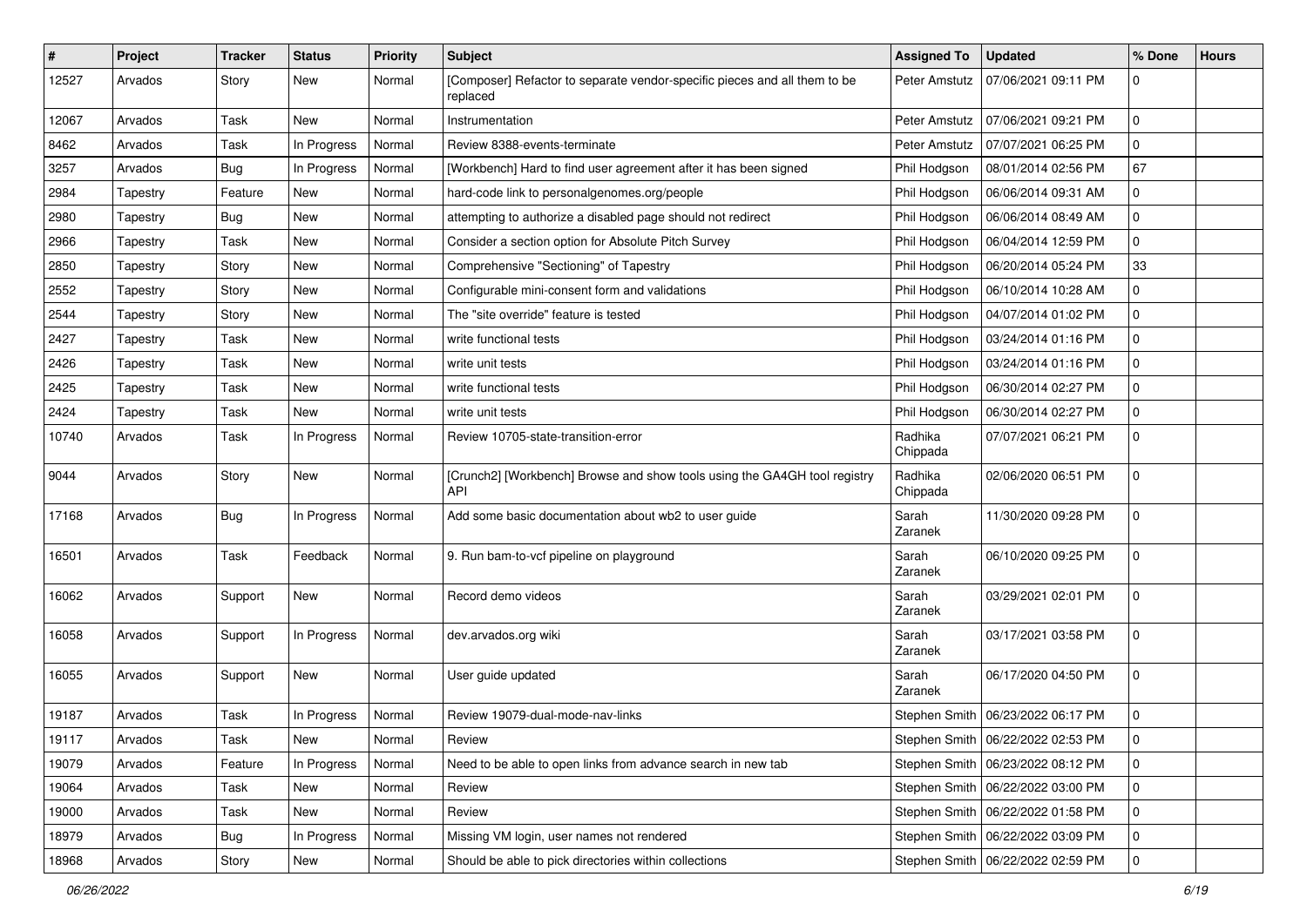| #     | Project  | <b>Tracker</b> | <b>Status</b> | <b>Priority</b> | <b>Subject</b>                                                                        | <b>Assigned To</b>  | <b>Updated</b>                      | % Done      | <b>Hours</b> |
|-------|----------|----------------|---------------|-----------------|---------------------------------------------------------------------------------------|---------------------|-------------------------------------|-------------|--------------|
| 12527 | Arvados  | Story          | New           | Normal          | [Composer] Refactor to separate vendor-specific pieces and all them to be<br>replaced | Peter Amstutz       | 07/06/2021 09:11 PM                 | 0           |              |
| 12067 | Arvados  | Task           | New           | Normal          | Instrumentation                                                                       | Peter Amstutz       | 07/06/2021 09:21 PM                 | 0           |              |
| 8462  | Arvados  | Task           | In Progress   | Normal          | Review 8388-events-terminate                                                          | Peter Amstutz       | 07/07/2021 06:25 PM                 | 0           |              |
| 3257  | Arvados  | Bug            | In Progress   | Normal          | [Workbench] Hard to find user agreement after it has been signed                      | Phil Hodgson        | 08/01/2014 02:56 PM                 | 67          |              |
| 2984  | Tapestry | Feature        | New           | Normal          | hard-code link to personalgenomes.org/people                                          | Phil Hodgson        | 06/06/2014 09:31 AM                 | 0           |              |
| 2980  | Tapestry | <b>Bug</b>     | New           | Normal          | attempting to authorize a disabled page should not redirect                           | Phil Hodgson        | 06/06/2014 08:49 AM                 | 0           |              |
| 2966  | Tapestry | Task           | New           | Normal          | Consider a section option for Absolute Pitch Survey                                   | Phil Hodgson        | 06/04/2014 12:59 PM                 | 0           |              |
| 2850  | Tapestry | Story          | New           | Normal          | Comprehensive "Sectioning" of Tapestry                                                | Phil Hodgson        | 06/20/2014 05:24 PM                 | 33          |              |
| 2552  | Tapestry | Story          | New           | Normal          | Configurable mini-consent form and validations                                        | Phil Hodgson        | 06/10/2014 10:28 AM                 | 0           |              |
| 2544  | Tapestry | Story          | New           | Normal          | The "site override" feature is tested                                                 | Phil Hodgson        | 04/07/2014 01:02 PM                 | 0           |              |
| 2427  | Tapestry | Task           | New           | Normal          | write functional tests                                                                | Phil Hodgson        | 03/24/2014 01:16 PM                 | 0           |              |
| 2426  | Tapestry | Task           | New           | Normal          | write unit tests                                                                      | Phil Hodgson        | 03/24/2014 01:16 PM                 | 0           |              |
| 2425  | Tapestry | Task           | New           | Normal          | write functional tests                                                                | Phil Hodgson        | 06/30/2014 02:27 PM                 | 0           |              |
| 2424  | Tapestry | Task           | New           | Normal          | write unit tests                                                                      | Phil Hodgson        | 06/30/2014 02:27 PM                 | 0           |              |
| 10740 | Arvados  | Task           | In Progress   | Normal          | Review 10705-state-transition-error                                                   | Radhika<br>Chippada | 07/07/2021 06:21 PM                 | 0           |              |
| 9044  | Arvados  | Story          | New           | Normal          | [Crunch2] [Workbench] Browse and show tools using the GA4GH tool registry<br>API      | Radhika<br>Chippada | 02/06/2020 06:51 PM                 | $\mathbf 0$ |              |
| 17168 | Arvados  | <b>Bug</b>     | In Progress   | Normal          | Add some basic documentation about wb2 to user guide                                  | Sarah<br>Zaranek    | 11/30/2020 09:28 PM                 | $\mathbf 0$ |              |
| 16501 | Arvados  | Task           | Feedback      | Normal          | 9. Run bam-to-vcf pipeline on playground                                              | Sarah<br>Zaranek    | 06/10/2020 09:25 PM                 | 0           |              |
| 16062 | Arvados  | Support        | New           | Normal          | Record demo videos                                                                    | Sarah<br>Zaranek    | 03/29/2021 02:01 PM                 | 0           |              |
| 16058 | Arvados  | Support        | In Progress   | Normal          | dev.arvados.org wiki                                                                  | Sarah<br>Zaranek    | 03/17/2021 03:58 PM                 | 0           |              |
| 16055 | Arvados  | Support        | New           | Normal          | User guide updated                                                                    | Sarah<br>Zaranek    | 06/17/2020 04:50 PM                 | 0           |              |
| 19187 | Arvados  | Task           | In Progress   | Normal          | Review 19079-dual-mode-nav-links                                                      |                     | Stephen Smith   06/23/2022 06:17 PM | $\mathbf 0$ |              |
| 19117 | Arvados  | Task           | New           | Normal          | Review                                                                                |                     | Stephen Smith   06/22/2022 02:53 PM |             |              |
| 19079 | Arvados  | Feature        | In Progress   | Normal          | Need to be able to open links from advance search in new tab                          |                     | Stephen Smith   06/23/2022 08:12 PM | $\mathbf 0$ |              |
| 19064 | Arvados  | Task           | New           | Normal          | Review                                                                                |                     | Stephen Smith   06/22/2022 03:00 PM | $\mathbf 0$ |              |
| 19000 | Arvados  | Task           | New           | Normal          | Review                                                                                |                     | Stephen Smith   06/22/2022 01:58 PM | $\mathbf 0$ |              |
| 18979 | Arvados  | Bug            | In Progress   | Normal          | Missing VM login, user names not rendered                                             |                     | Stephen Smith   06/22/2022 03:09 PM | $\mathbf 0$ |              |
| 18968 | Arvados  | Story          | New           | Normal          | Should be able to pick directories within collections                                 |                     | Stephen Smith   06/22/2022 02:59 PM | 0           |              |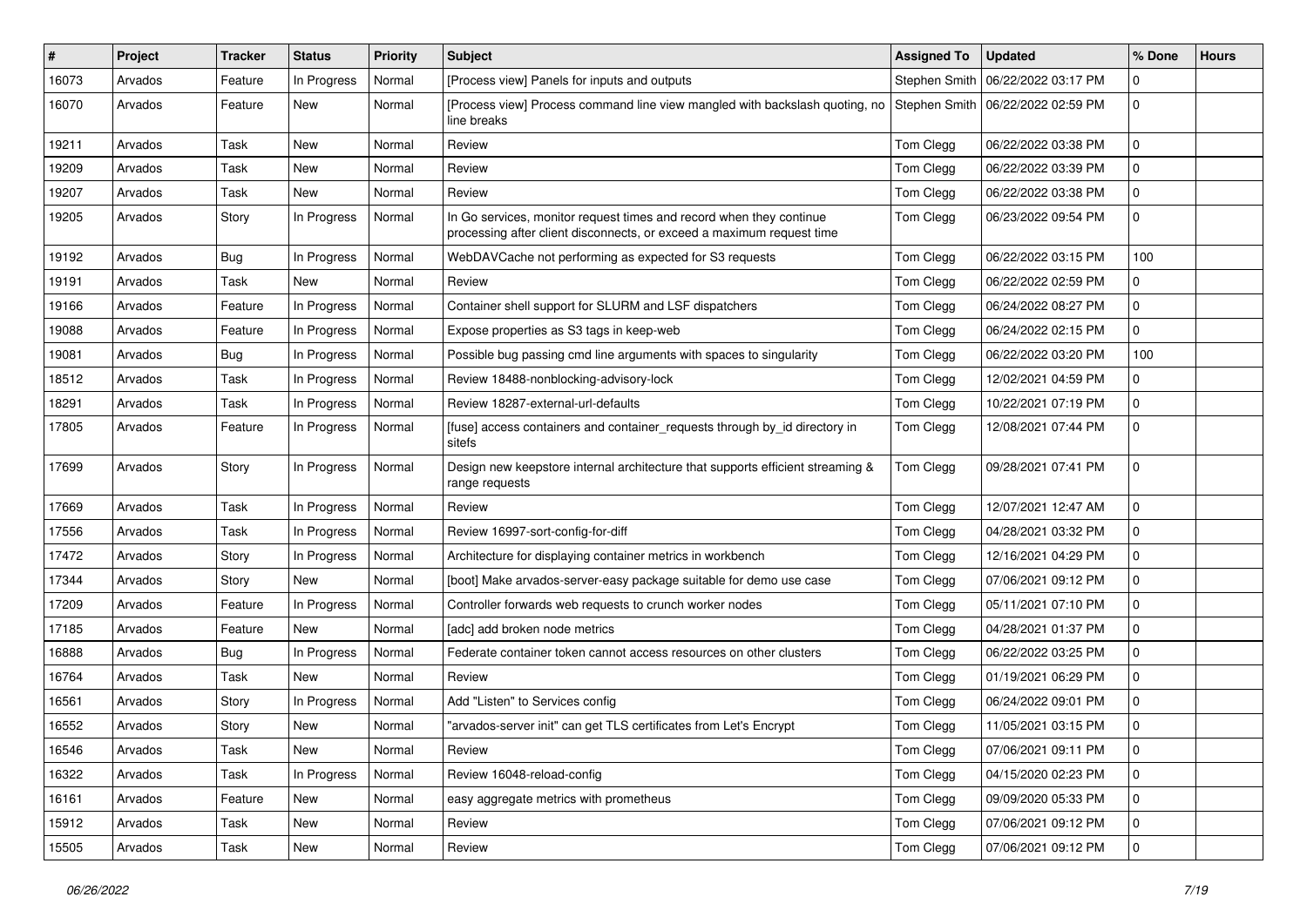| #     | Project | <b>Tracker</b> | <b>Status</b> | <b>Priority</b> | <b>Subject</b>                                                                                                                               | <b>Assigned To</b> | <b>Updated</b>      | % Done      | <b>Hours</b> |
|-------|---------|----------------|---------------|-----------------|----------------------------------------------------------------------------------------------------------------------------------------------|--------------------|---------------------|-------------|--------------|
| 16073 | Arvados | Feature        | In Progress   | Normal          | [Process view] Panels for inputs and outputs                                                                                                 | Stephen Smith      | 06/22/2022 03:17 PM | 0           |              |
| 16070 | Arvados | Feature        | New           | Normal          | [Process view] Process command line view mangled with backslash quoting, no<br>line breaks                                                   | Stephen Smith      | 06/22/2022 02:59 PM | 0           |              |
| 19211 | Arvados | Task           | <b>New</b>    | Normal          | Review                                                                                                                                       | Tom Clegg          | 06/22/2022 03:38 PM | 0           |              |
| 19209 | Arvados | Task           | <b>New</b>    | Normal          | Review                                                                                                                                       | Tom Clegg          | 06/22/2022 03:39 PM | 0           |              |
| 19207 | Arvados | Task           | New           | Normal          | Review                                                                                                                                       | Tom Clegg          | 06/22/2022 03:38 PM | 0           |              |
| 19205 | Arvados | Story          | In Progress   | Normal          | In Go services, monitor request times and record when they continue<br>processing after client disconnects, or exceed a maximum request time | Tom Clegg          | 06/23/2022 09:54 PM | 0           |              |
| 19192 | Arvados | Bug            | In Progress   | Normal          | WebDAVCache not performing as expected for S3 requests                                                                                       | Tom Clegg          | 06/22/2022 03:15 PM | 100         |              |
| 19191 | Arvados | Task           | New           | Normal          | Review                                                                                                                                       | Tom Clegg          | 06/22/2022 02:59 PM | 0           |              |
| 19166 | Arvados | Feature        | In Progress   | Normal          | Container shell support for SLURM and LSF dispatchers                                                                                        | Tom Clegg          | 06/24/2022 08:27 PM | 0           |              |
| 19088 | Arvados | Feature        | In Progress   | Normal          | Expose properties as S3 tags in keep-web                                                                                                     | Tom Clegg          | 06/24/2022 02:15 PM | 0           |              |
| 19081 | Arvados | Bug            | In Progress   | Normal          | Possible bug passing cmd line arguments with spaces to singularity                                                                           | Tom Clegg          | 06/22/2022 03:20 PM | 100         |              |
| 18512 | Arvados | Task           | In Progress   | Normal          | Review 18488-nonblocking-advisory-lock                                                                                                       | Tom Clegg          | 12/02/2021 04:59 PM | 0           |              |
| 18291 | Arvados | Task           | In Progress   | Normal          | Review 18287-external-url-defaults                                                                                                           | Tom Clegg          | 10/22/2021 07:19 PM | 0           |              |
| 17805 | Arvados | Feature        | In Progress   | Normal          | [fuse] access containers and container_requests through by_id directory in<br>sitefs                                                         | Tom Clegg          | 12/08/2021 07:44 PM | 0           |              |
| 17699 | Arvados | Story          | In Progress   | Normal          | Design new keepstore internal architecture that supports efficient streaming &<br>range requests                                             | Tom Clegg          | 09/28/2021 07:41 PM | 0           |              |
| 17669 | Arvados | Task           | In Progress   | Normal          | Review                                                                                                                                       | Tom Clegg          | 12/07/2021 12:47 AM | 0           |              |
| 17556 | Arvados | Task           | In Progress   | Normal          | Review 16997-sort-config-for-diff                                                                                                            | Tom Clegg          | 04/28/2021 03:32 PM | 0           |              |
| 17472 | Arvados | Story          | In Progress   | Normal          | Architecture for displaying container metrics in workbench                                                                                   | Tom Clegg          | 12/16/2021 04:29 PM | 0           |              |
| 17344 | Arvados | Story          | New           | Normal          | [boot] Make arvados-server-easy package suitable for demo use case                                                                           | Tom Clegg          | 07/06/2021 09:12 PM | 0           |              |
| 17209 | Arvados | Feature        | In Progress   | Normal          | Controller forwards web requests to crunch worker nodes                                                                                      | Tom Clegg          | 05/11/2021 07:10 PM | 0           |              |
| 17185 | Arvados | Feature        | New           | Normal          | [adc] add broken node metrics                                                                                                                | Tom Clegg          | 04/28/2021 01:37 PM | 0           |              |
| 16888 | Arvados | Bug            | In Progress   | Normal          | Federate container token cannot access resources on other clusters                                                                           | Tom Clegg          | 06/22/2022 03:25 PM | 0           |              |
| 16764 | Arvados | Task           | New           | Normal          | Review                                                                                                                                       | Tom Clegg          | 01/19/2021 06:29 PM | 0           |              |
| 16561 | Arvados | Story          | In Progress   | Normal          | Add "Listen" to Services config                                                                                                              | Tom Clegg          | 06/24/2022 09:01 PM | 0           |              |
| 16552 | Arvados | Story          | New           | Normal          | "arvados-server init" can get TLS certificates from Let's Encrypt                                                                            | Tom Clegg          | 11/05/2021 03:15 PM | 0           |              |
| 16546 | Arvados | Task           | New           | Normal          | Review                                                                                                                                       | Tom Clegg          | 07/06/2021 09:11 PM | $\mathbf 0$ |              |
| 16322 | Arvados | Task           | In Progress   | Normal          | Review 16048-reload-config                                                                                                                   | Tom Clegg          | 04/15/2020 02:23 PM | 0           |              |
| 16161 | Arvados | Feature        | New           | Normal          | easy aggregate metrics with prometheus                                                                                                       | Tom Clegg          | 09/09/2020 05:33 PM | $\mathbf 0$ |              |
| 15912 | Arvados | Task           | New           | Normal          | Review                                                                                                                                       | Tom Clegg          | 07/06/2021 09:12 PM | 0           |              |
| 15505 | Arvados | Task           | New           | Normal          | Review                                                                                                                                       | Tom Clegg          | 07/06/2021 09:12 PM | 0           |              |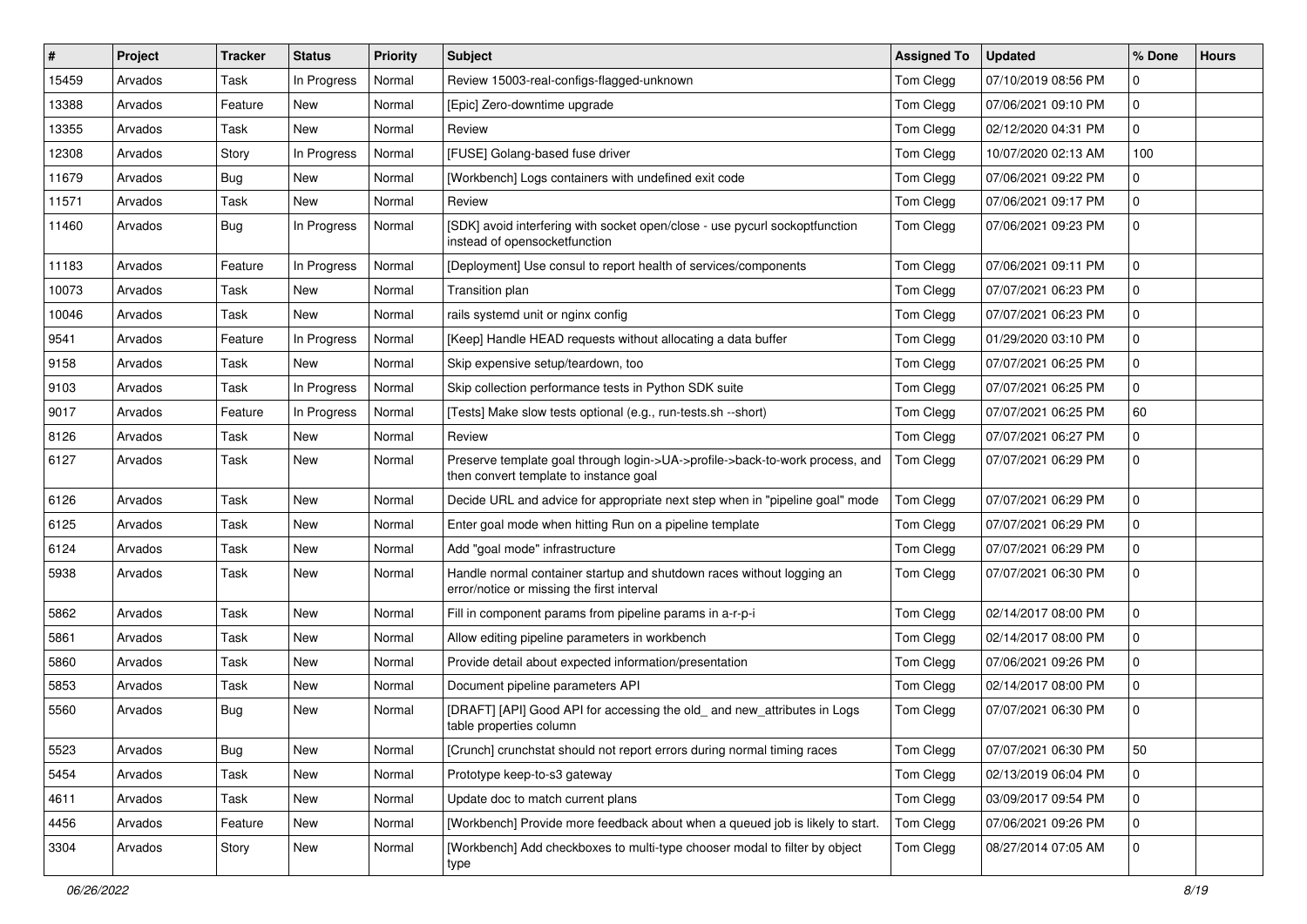| #     | <b>Project</b> | <b>Tracker</b> | <b>Status</b> | Priority | <b>Subject</b>                                                                                                         | <b>Assigned To</b> | <b>Updated</b>      | % Done       | <b>Hours</b> |
|-------|----------------|----------------|---------------|----------|------------------------------------------------------------------------------------------------------------------------|--------------------|---------------------|--------------|--------------|
| 15459 | Arvados        | Task           | In Progress   | Normal   | Review 15003-real-configs-flagged-unknown                                                                              | Tom Clegg          | 07/10/2019 08:56 PM | 0            |              |
| 13388 | Arvados        | Feature        | New           | Normal   | [Epic] Zero-downtime upgrade                                                                                           | Tom Clegg          | 07/06/2021 09:10 PM | 0            |              |
| 13355 | Arvados        | Task           | <b>New</b>    | Normal   | Review                                                                                                                 | Tom Clegg          | 02/12/2020 04:31 PM | 0            |              |
| 12308 | Arvados        | Story          | In Progress   | Normal   | [FUSE] Golang-based fuse driver                                                                                        | Tom Clegg          | 10/07/2020 02:13 AM | 100          |              |
| 11679 | Arvados        | Bug            | <b>New</b>    | Normal   | [Workbench] Logs containers with undefined exit code                                                                   | Tom Clegg          | 07/06/2021 09:22 PM | 0            |              |
| 11571 | Arvados        | Task           | New           | Normal   | Review                                                                                                                 | Tom Clegg          | 07/06/2021 09:17 PM | 0            |              |
| 11460 | Arvados        | Bug            | In Progress   | Normal   | [SDK] avoid interfering with socket open/close - use pycurl sockoptfunction<br>instead of opensocketfunction           | Tom Clegg          | 07/06/2021 09:23 PM | 0            |              |
| 11183 | Arvados        | Feature        | In Progress   | Normal   | [Deployment] Use consul to report health of services/components                                                        | Tom Clegg          | 07/06/2021 09:11 PM | 0            |              |
| 10073 | Arvados        | Task           | New           | Normal   | Transition plan                                                                                                        | Tom Clegg          | 07/07/2021 06:23 PM | 0            |              |
| 10046 | Arvados        | Task           | <b>New</b>    | Normal   | rails systemd unit or nginx config                                                                                     | Tom Clegg          | 07/07/2021 06:23 PM | $\Omega$     |              |
| 9541  | Arvados        | Feature        | In Progress   | Normal   | [Keep] Handle HEAD requests without allocating a data buffer                                                           | Tom Clegg          | 01/29/2020 03:10 PM | 0            |              |
| 9158  | Arvados        | Task           | New           | Normal   | Skip expensive setup/teardown, too                                                                                     | Tom Clegg          | 07/07/2021 06:25 PM | 0            |              |
| 9103  | Arvados        | Task           | In Progress   | Normal   | Skip collection performance tests in Python SDK suite                                                                  | Tom Clegg          | 07/07/2021 06:25 PM | 0            |              |
| 9017  | Arvados        | Feature        | In Progress   | Normal   | [Tests] Make slow tests optional (e.g., run-tests.sh --short)                                                          | Tom Clegg          | 07/07/2021 06:25 PM | 60           |              |
| 8126  | Arvados        | Task           | <b>New</b>    | Normal   | Review                                                                                                                 | Tom Clegg          | 07/07/2021 06:27 PM | 0            |              |
| 6127  | Arvados        | Task           | New           | Normal   | Preserve template goal through login->UA->profile->back-to-work process, and<br>then convert template to instance goal | Tom Clegg          | 07/07/2021 06:29 PM | 0            |              |
| 6126  | Arvados        | Task           | New           | Normal   | Decide URL and advice for appropriate next step when in "pipeline goal" mode                                           | Tom Clegg          | 07/07/2021 06:29 PM | 0            |              |
| 6125  | Arvados        | Task           | <b>New</b>    | Normal   | Enter goal mode when hitting Run on a pipeline template                                                                | Tom Clegg          | 07/07/2021 06:29 PM | 0            |              |
| 6124  | Arvados        | Task           | New           | Normal   | Add "goal mode" infrastructure                                                                                         | Tom Clegg          | 07/07/2021 06:29 PM | 0            |              |
| 5938  | Arvados        | Task           | <b>New</b>    | Normal   | Handle normal container startup and shutdown races without logging an<br>error/notice or missing the first interval    | Tom Clegg          | 07/07/2021 06:30 PM | 0            |              |
| 5862  | Arvados        | Task           | <b>New</b>    | Normal   | Fill in component params from pipeline params in a-r-p-i                                                               | Tom Clegg          | 02/14/2017 08:00 PM | $\mathbf{0}$ |              |
| 5861  | Arvados        | Task           | New           | Normal   | Allow editing pipeline parameters in workbench                                                                         | Tom Clegg          | 02/14/2017 08:00 PM | 0            |              |
| 5860  | Arvados        | Task           | <b>New</b>    | Normal   | Provide detail about expected information/presentation                                                                 | Tom Clegg          | 07/06/2021 09:26 PM | 0            |              |
| 5853  | Arvados        | Task           | New           | Normal   | Document pipeline parameters API                                                                                       | Tom Clegg          | 02/14/2017 08:00 PM | 0            |              |
| 5560  | Arvados        | Bug            | <b>New</b>    | Normal   | [DRAFT] [API] Good API for accessing the old_ and new_attributes in Logs<br>table properties column                    | Tom Clegg          | 07/07/2021 06:30 PM | 0            |              |
| 5523  | Arvados        | Bug            | New           | Normal   | [Crunch] crunchstat should not report errors during normal timing races                                                | Tom Clegg          | 07/07/2021 06:30 PM | 50           |              |
| 5454  | Arvados        | Task           | New           | Normal   | Prototype keep-to-s3 gateway                                                                                           | Tom Clegg          | 02/13/2019 06:04 PM | 0            |              |
| 4611  | Arvados        | Task           | New           | Normal   | Update doc to match current plans                                                                                      | Tom Clegg          | 03/09/2017 09:54 PM | 0            |              |
| 4456  | Arvados        | Feature        | New           | Normal   | [Workbench] Provide more feedback about when a queued job is likely to start.                                          | Tom Clegg          | 07/06/2021 09:26 PM | 0            |              |
| 3304  | Arvados        | Story          | New           | Normal   | [Workbench] Add checkboxes to multi-type chooser modal to filter by object<br>type                                     | Tom Clegg          | 08/27/2014 07:05 AM | 0            |              |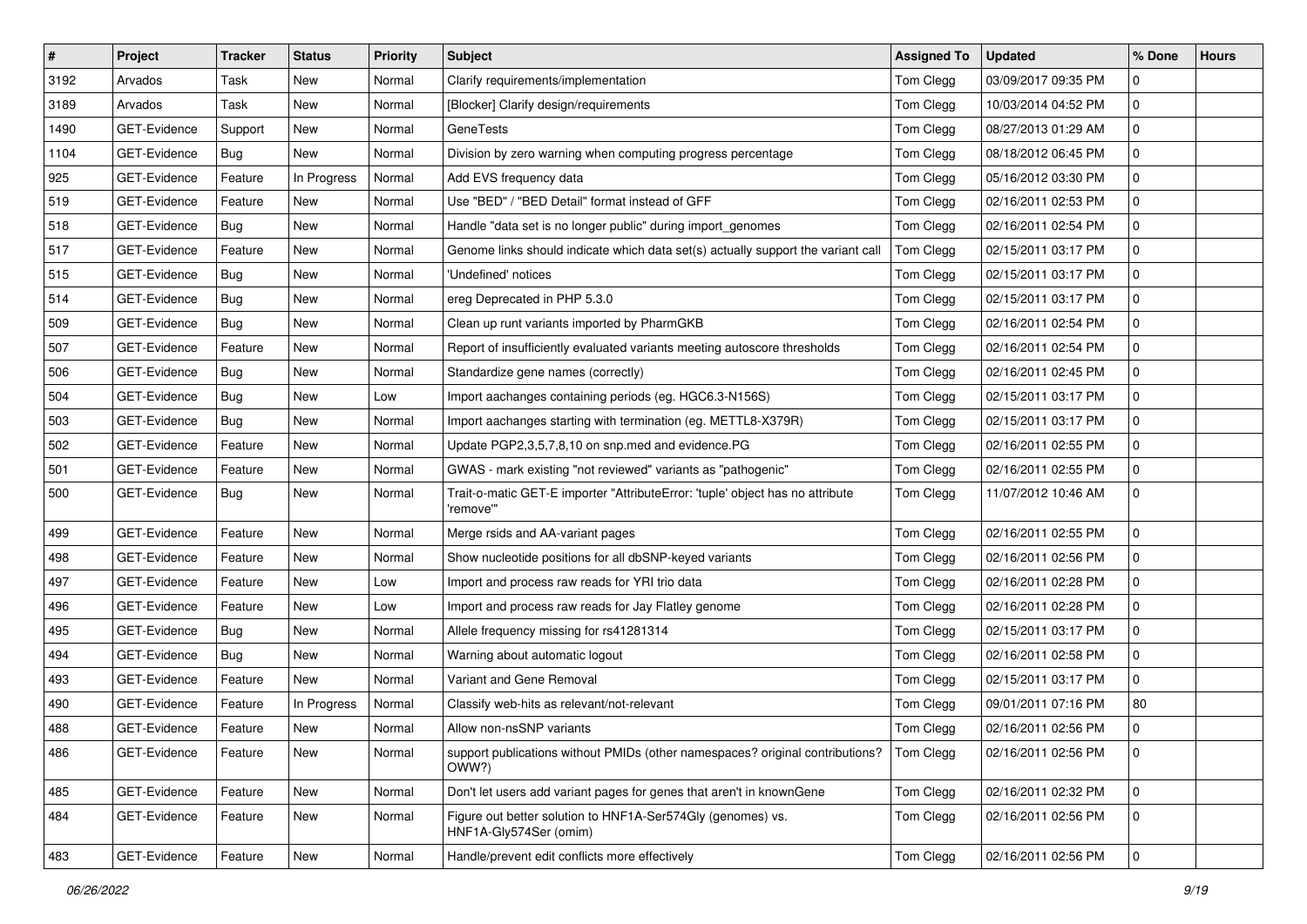| #    | Project             | <b>Tracker</b> | <b>Status</b> | <b>Priority</b> | <b>Subject</b>                                                                             | <b>Assigned To</b> | <b>Updated</b>      | % Done       | <b>Hours</b> |
|------|---------------------|----------------|---------------|-----------------|--------------------------------------------------------------------------------------------|--------------------|---------------------|--------------|--------------|
| 3192 | Arvados             | Task           | New           | Normal          | Clarify requirements/implementation                                                        | Tom Clegg          | 03/09/2017 09:35 PM | 0            |              |
| 3189 | Arvados             | Task           | <b>New</b>    | Normal          | [Blocker] Clarify design/requirements                                                      | Tom Clegg          | 10/03/2014 04:52 PM | 0            |              |
| 1490 | <b>GET-Evidence</b> | Support        | <b>New</b>    | Normal          | <b>GeneTests</b>                                                                           | Tom Clegg          | 08/27/2013 01:29 AM | $\mathbf{0}$ |              |
| 1104 | GET-Evidence        | Bug            | New           | Normal          | Division by zero warning when computing progress percentage                                | Tom Clegg          | 08/18/2012 06:45 PM | 0            |              |
| 925  | GET-Evidence        | Feature        | In Progress   | Normal          | Add EVS frequency data                                                                     | Tom Clegg          | 05/16/2012 03:30 PM | 0            |              |
| 519  | <b>GET-Evidence</b> | Feature        | New           | Normal          | Use "BED" / "BED Detail" format instead of GFF                                             | Tom Clegg          | 02/16/2011 02:53 PM | 0            |              |
| 518  | GET-Evidence        | Bug            | New           | Normal          | Handle "data set is no longer public" during import_genomes                                | Tom Clegg          | 02/16/2011 02:54 PM | $\mathbf 0$  |              |
| 517  | GET-Evidence        | Feature        | New           | Normal          | Genome links should indicate which data set(s) actually support the variant call           | Tom Clegg          | 02/15/2011 03:17 PM | 0            |              |
| 515  | GET-Evidence        | Bug            | <b>New</b>    | Normal          | 'Undefined' notices                                                                        | Tom Clegg          | 02/15/2011 03:17 PM | 0            |              |
| 514  | GET-Evidence        | Bug            | New           | Normal          | ereg Deprecated in PHP 5.3.0                                                               | Tom Clegg          | 02/15/2011 03:17 PM | 0            |              |
| 509  | <b>GET-Evidence</b> | Bug            | New           | Normal          | Clean up runt variants imported by PharmGKB                                                | Tom Clegg          | 02/16/2011 02:54 PM | 0            |              |
| 507  | GET-Evidence        | Feature        | New           | Normal          | Report of insufficiently evaluated variants meeting autoscore thresholds                   | Tom Clegg          | 02/16/2011 02:54 PM | 0            |              |
| 506  | GET-Evidence        | Bug            | New           | Normal          | Standardize gene names (correctly)                                                         | Tom Clegg          | 02/16/2011 02:45 PM | 0            |              |
| 504  | GET-Evidence        | Bug            | <b>New</b>    | Low             | Import aachanges containing periods (eg. HGC6.3-N156S)                                     | Tom Clegg          | 02/15/2011 03:17 PM | 0            |              |
| 503  | GET-Evidence        | Bug            | <b>New</b>    | Normal          | Import aachanges starting with termination (eg. METTL8-X379R)                              | Tom Clegg          | 02/15/2011 03:17 PM | 0            |              |
| 502  | GET-Evidence        | Feature        | New           | Normal          | Update PGP2,3,5,7,8,10 on snp.med and evidence.PG                                          | Tom Clegg          | 02/16/2011 02:55 PM | $\mathbf{0}$ |              |
| 501  | GET-Evidence        | Feature        | <b>New</b>    | Normal          | GWAS - mark existing "not reviewed" variants as "pathogenic"                               | Tom Clegg          | 02/16/2011 02:55 PM | 0            |              |
| 500  | GET-Evidence        | Bug            | <b>New</b>    | Normal          | Trait-o-matic GET-E importer "AttributeError: 'tuple' object has no attribute<br>'remove'" | Tom Clegg          | 11/07/2012 10:46 AM | 0            |              |
| 499  | GET-Evidence        | Feature        | New           | Normal          | Merge rsids and AA-variant pages                                                           | Tom Clegg          | 02/16/2011 02:55 PM | 0            |              |
| 498  | GET-Evidence        | Feature        | New           | Normal          | Show nucleotide positions for all dbSNP-keyed variants                                     | Tom Clegg          | 02/16/2011 02:56 PM | 0            |              |
| 497  | GET-Evidence        | Feature        | <b>New</b>    | Low             | Import and process raw reads for YRI trio data                                             | Tom Clegg          | 02/16/2011 02:28 PM | 0            |              |
| 496  | GET-Evidence        | Feature        | New           | Low             | Import and process raw reads for Jay Flatley genome                                        | Tom Clegg          | 02/16/2011 02:28 PM | 0            |              |
| 495  | GET-Evidence        | Bug            | New           | Normal          | Allele frequency missing for rs41281314                                                    | Tom Clegg          | 02/15/2011 03:17 PM | 0            |              |
| 494  | GET-Evidence        | Bug            | New           | Normal          | Warning about automatic logout                                                             | Tom Clegg          | 02/16/2011 02:58 PM | 0            |              |
| 493  | GET-Evidence        | Feature        | New           | Normal          | Variant and Gene Removal                                                                   | Tom Clegg          | 02/15/2011 03:17 PM | 0            |              |
| 490  | GET-Evidence        | Feature        | In Progress   | Normal          | Classify web-hits as relevant/not-relevant                                                 | Tom Clegg          | 09/01/2011 07:16 PM | 80           |              |
| 488  | GET-Evidence        | Feature        | New           | Normal          | Allow non-nsSNP variants                                                                   | Tom Clegg          | 02/16/2011 02:56 PM | 0            |              |
| 486  | GET-Evidence        | Feature        | New           | Normal          | support publications without PMIDs (other namespaces? original contributions?<br>OWW?)     | Tom Clegg          | 02/16/2011 02:56 PM | $\mathbf 0$  |              |
| 485  | <b>GET-Evidence</b> | Feature        | New           | Normal          | Don't let users add variant pages for genes that aren't in knownGene                       | Tom Clegg          | 02/16/2011 02:32 PM | $\mathbf 0$  |              |
| 484  | GET-Evidence        | Feature        | New           | Normal          | Figure out better solution to HNF1A-Ser574Gly (genomes) vs.<br>HNF1A-Gly574Ser (omim)      | <b>Tom Clegg</b>   | 02/16/2011 02:56 PM | 0            |              |
| 483  | GET-Evidence        | Feature        | New           | Normal          | Handle/prevent edit conflicts more effectively                                             | Tom Clegg          | 02/16/2011 02:56 PM | $\mathbf 0$  |              |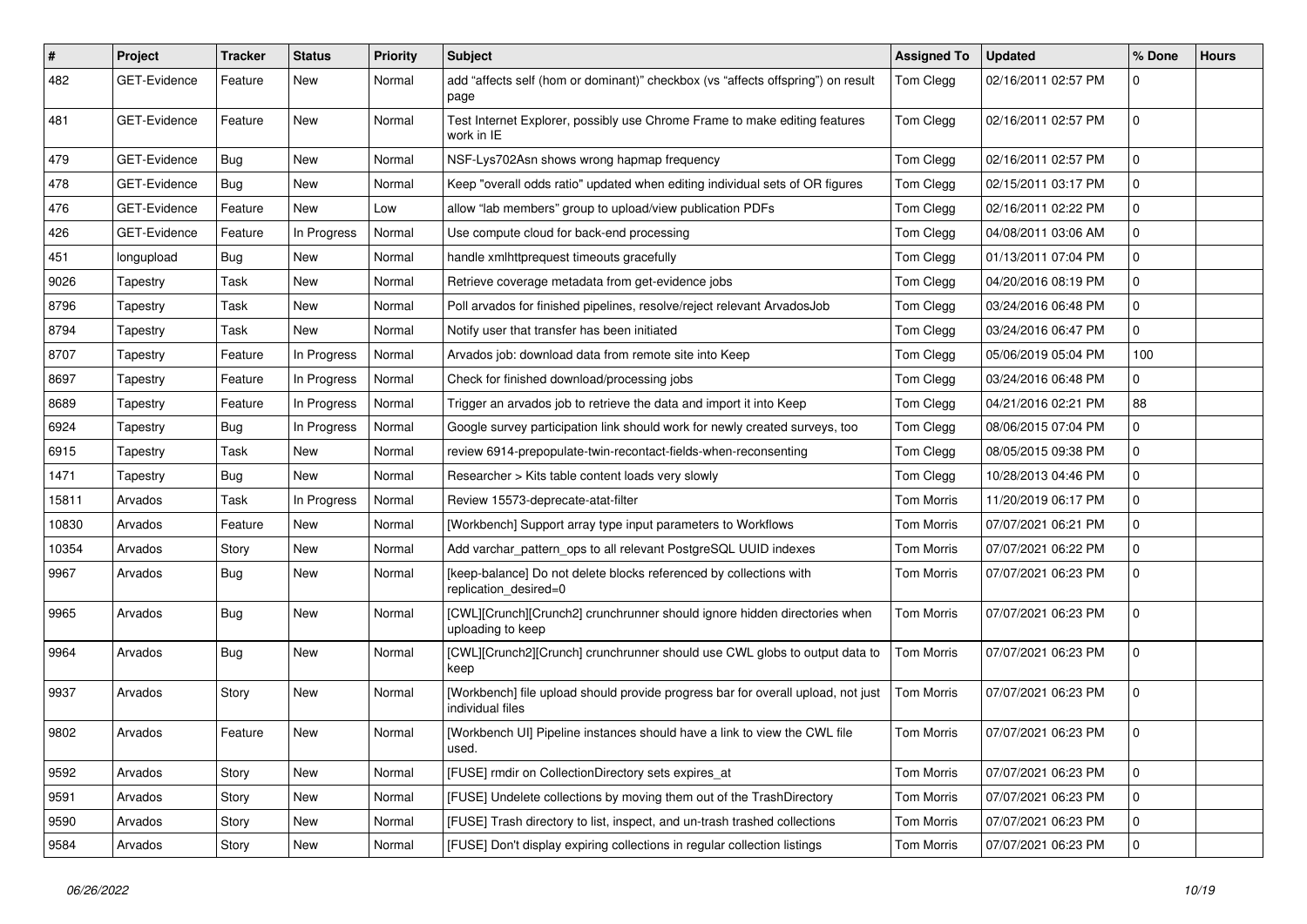| $\sharp$ | Project             | <b>Tracker</b> | <b>Status</b> | <b>Priority</b> | <b>Subject</b>                                                                                       | <b>Assigned To</b> | <b>Updated</b>      | % Done      | <b>Hours</b> |
|----------|---------------------|----------------|---------------|-----------------|------------------------------------------------------------------------------------------------------|--------------------|---------------------|-------------|--------------|
| 482      | <b>GET-Evidence</b> | Feature        | <b>New</b>    | Normal          | add "affects self (hom or dominant)" checkbox (vs "affects offspring") on result<br>page             | Tom Clegg          | 02/16/2011 02:57 PM | 0           |              |
| 481      | <b>GET-Evidence</b> | Feature        | New           | Normal          | Test Internet Explorer, possibly use Chrome Frame to make editing features<br>work in IE             | Tom Clegg          | 02/16/2011 02:57 PM | 0           |              |
| 479      | GET-Evidence        | Bug            | <b>New</b>    | Normal          | NSF-Lys702Asn shows wrong hapmap frequency                                                           | Tom Clegg          | 02/16/2011 02:57 PM | $\mathbf 0$ |              |
| 478      | <b>GET-Evidence</b> | Bug            | New           | Normal          | Keep "overall odds ratio" updated when editing individual sets of OR figures                         | Tom Clegg          | 02/15/2011 03:17 PM | 0           |              |
| 476      | GET-Evidence        | Feature        | New           | Low             | allow "lab members" group to upload/view publication PDFs                                            | Tom Clegg          | 02/16/2011 02:22 PM | 0           |              |
| 426      | <b>GET-Evidence</b> | Feature        | In Progress   | Normal          | Use compute cloud for back-end processing                                                            | Tom Clegg          | 04/08/2011 03:06 AM | 0           |              |
| 451      | longupload          | Bug            | New           | Normal          | handle xmlhttprequest timeouts gracefully                                                            | Tom Clegg          | 01/13/2011 07:04 PM | 0           |              |
| 9026     | Tapestry            | Task           | <b>New</b>    | Normal          | Retrieve coverage metadata from get-evidence jobs                                                    | Tom Clegg          | 04/20/2016 08:19 PM | 0           |              |
| 8796     | Tapestry            | Task           | New           | Normal          | Poll arvados for finished pipelines, resolve/reject relevant ArvadosJob                              | Tom Clegg          | 03/24/2016 06:48 PM | 0           |              |
| 8794     | Tapestry            | Task           | New           | Normal          | Notify user that transfer has been initiated                                                         | Tom Clegg          | 03/24/2016 06:47 PM | 0           |              |
| 8707     | Tapestry            | Feature        | In Progress   | Normal          | Arvados job: download data from remote site into Keep                                                | Tom Clegg          | 05/06/2019 05:04 PM | 100         |              |
| 8697     | Tapestry            | Feature        | In Progress   | Normal          | Check for finished download/processing jobs                                                          | Tom Clegg          | 03/24/2016 06:48 PM | 0           |              |
| 8689     | Tapestry            | Feature        | In Progress   | Normal          | Trigger an arvados job to retrieve the data and import it into Keep                                  | Tom Clegg          | 04/21/2016 02:21 PM | 88          |              |
| 6924     | Tapestry            | Bug            | In Progress   | Normal          | Google survey participation link should work for newly created surveys, too                          | Tom Clegg          | 08/06/2015 07:04 PM | 0           |              |
| 6915     | Tapestry            | Task           | New           | Normal          | review 6914-prepopulate-twin-recontact-fields-when-reconsenting                                      | Tom Clegg          | 08/05/2015 09:38 PM | 0           |              |
| 1471     | Tapestry            | Bug            | <b>New</b>    | Normal          | Researcher > Kits table content loads very slowly                                                    | Tom Clegg          | 10/28/2013 04:46 PM | 0           |              |
| 15811    | Arvados             | Task           | In Progress   | Normal          | Review 15573-deprecate-atat-filter                                                                   | Tom Morris         | 11/20/2019 06:17 PM | 0           |              |
| 10830    | Arvados             | Feature        | New           | Normal          | [Workbench] Support array type input parameters to Workflows                                         | Tom Morris         | 07/07/2021 06:21 PM | 0           |              |
| 10354    | Arvados             | Story          | New           | Normal          | Add varchar_pattern_ops to all relevant PostgreSQL UUID indexes                                      | <b>Tom Morris</b>  | 07/07/2021 06:22 PM | 0           |              |
| 9967     | Arvados             | Bug            | New           | Normal          | [keep-balance] Do not delete blocks referenced by collections with<br>replication_desired=0          | <b>Tom Morris</b>  | 07/07/2021 06:23 PM | 0           |              |
| 9965     | Arvados             | Bug            | New           | Normal          | [CWL][Crunch][Crunch2] crunchrunner should ignore hidden directories when<br>uploading to keep       | Tom Morris         | 07/07/2021 06:23 PM | 0           |              |
| 9964     | Arvados             | <b>Bug</b>     | <b>New</b>    | Normal          | [CWL][Crunch2][Crunch] crunchrunner should use CWL globs to output data to<br>keep                   | Tom Morris         | 07/07/2021 06:23 PM | 0           |              |
| 9937     | Arvados             | Story          | New           | Normal          | [Workbench] file upload should provide progress bar for overall upload, not just<br>individual files | Tom Morris         | 07/07/2021 06:23 PM | 0           |              |
| 9802     | Arvados             | Feature        | New           | Normal          | [Workbench UI] Pipeline instances should have a link to view the CWL file<br>used.                   | Tom Morris         | 07/07/2021 06:23 PM | $\mathbf 0$ |              |
| 9592     | Arvados             | Story          | New           | Normal          | [FUSE] rmdir on CollectionDirectory sets expires_at                                                  | Tom Morris         | 07/07/2021 06:23 PM | $\mathbf 0$ |              |
| 9591     | Arvados             | Story          | New           | Normal          | [FUSE] Undelete collections by moving them out of the TrashDirectory                                 | Tom Morris         | 07/07/2021 06:23 PM | $\mathbf 0$ |              |
| 9590     | Arvados             | Story          | New           | Normal          | [FUSE] Trash directory to list, inspect, and un-trash trashed collections                            | Tom Morris         | 07/07/2021 06:23 PM | $\mathbf 0$ |              |
| 9584     | Arvados             | Story          | New           | Normal          | [FUSE] Don't display expiring collections in regular collection listings                             | <b>Tom Morris</b>  | 07/07/2021 06:23 PM | $\mathbf 0$ |              |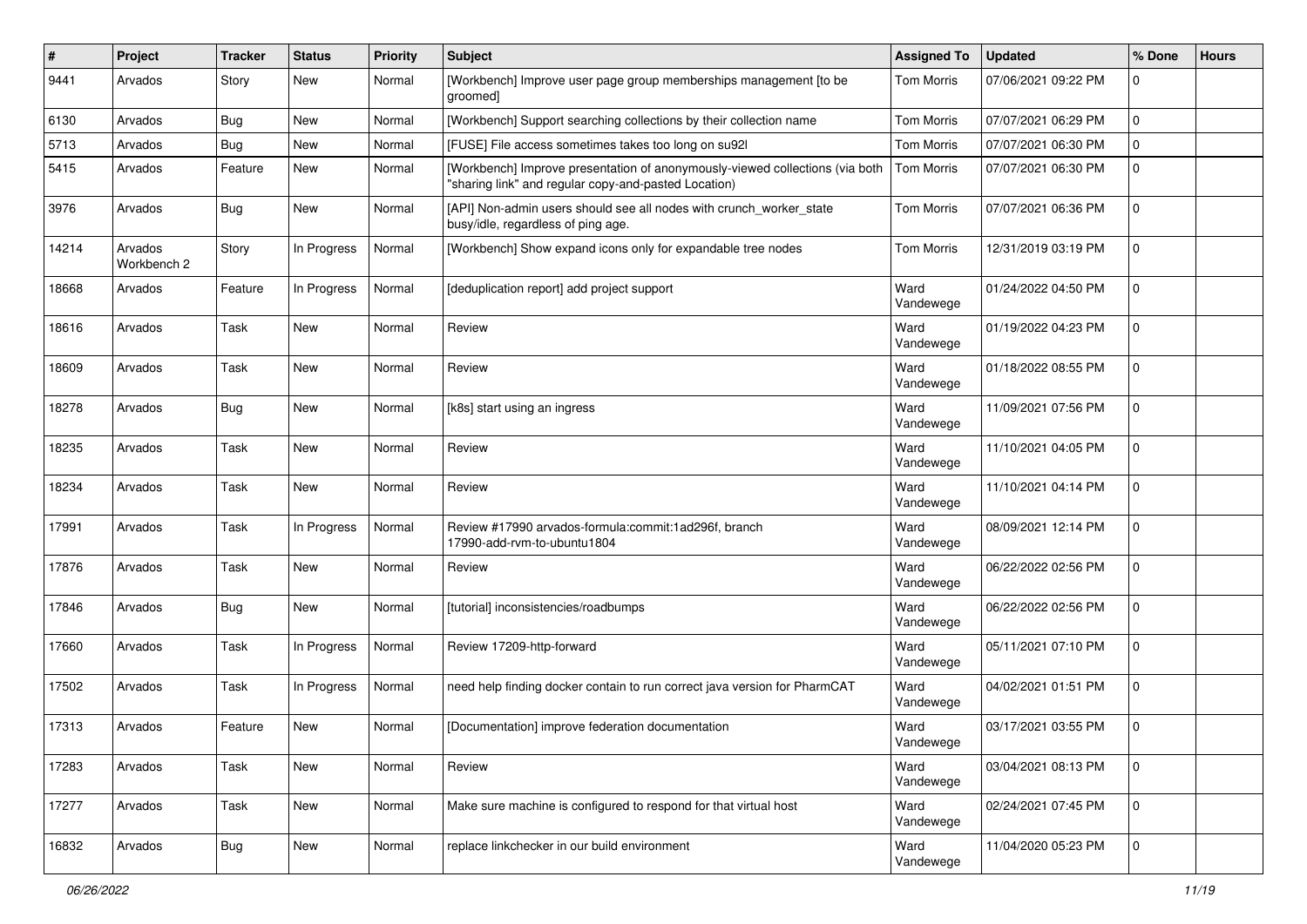| $\#$  | Project                | <b>Tracker</b> | <b>Status</b> | <b>Priority</b> | Subject                                                                                                                              | <b>Assigned To</b> | <b>Updated</b>      | % Done                  | <b>Hours</b> |
|-------|------------------------|----------------|---------------|-----------------|--------------------------------------------------------------------------------------------------------------------------------------|--------------------|---------------------|-------------------------|--------------|
| 9441  | Arvados                | Story          | New           | Normal          | [Workbench] Improve user page group memberships management [to be<br>groomed]                                                        | Tom Morris         | 07/06/2021 09:22 PM | 0                       |              |
| 6130  | Arvados                | Bug            | <b>New</b>    | Normal          | [Workbench] Support searching collections by their collection name                                                                   | <b>Tom Morris</b>  | 07/07/2021 06:29 PM | 0                       |              |
| 5713  | Arvados                | <b>Bug</b>     | <b>New</b>    | Normal          | [FUSE] File access sometimes takes too long on su92]                                                                                 | Tom Morris         | 07/07/2021 06:30 PM | 0                       |              |
| 5415  | Arvados                | Feature        | <b>New</b>    | Normal          | [Workbench] Improve presentation of anonymously-viewed collections (via both<br>"sharing link" and regular copy-and-pasted Location) | <b>Tom Morris</b>  | 07/07/2021 06:30 PM | $\mathbf 0$             |              |
| 3976  | Arvados                | Bug            | <b>New</b>    | Normal          | [API] Non-admin users should see all nodes with crunch_worker_state<br>busy/idle, regardless of ping age.                            | <b>Tom Morris</b>  | 07/07/2021 06:36 PM | 0                       |              |
| 14214 | Arvados<br>Workbench 2 | Story          | In Progress   | Normal          | [Workbench] Show expand icons only for expandable tree nodes                                                                         | Tom Morris         | 12/31/2019 03:19 PM | $\mathbf 0$             |              |
| 18668 | Arvados                | Feature        | In Progress   | Normal          | [deduplication report] add project support                                                                                           | Ward<br>Vandewege  | 01/24/2022 04:50 PM | 0                       |              |
| 18616 | Arvados                | Task           | <b>New</b>    | Normal          | Review                                                                                                                               | Ward<br>Vandewege  | 01/19/2022 04:23 PM | $\mathbf 0$             |              |
| 18609 | Arvados                | Task           | <b>New</b>    | Normal          | Review                                                                                                                               | Ward<br>Vandewege  | 01/18/2022 08:55 PM | $\mathbf 0$             |              |
| 18278 | Arvados                | <b>Bug</b>     | <b>New</b>    | Normal          | [k8s] start using an ingress                                                                                                         | Ward<br>Vandewege  | 11/09/2021 07:56 PM | $\mathbf 0$             |              |
| 18235 | Arvados                | Task           | <b>New</b>    | Normal          | Review                                                                                                                               | Ward<br>Vandewege  | 11/10/2021 04:05 PM | $\mathbf 0$             |              |
| 18234 | Arvados                | Task           | <b>New</b>    | Normal          | Review                                                                                                                               | Ward<br>Vandewege  | 11/10/2021 04:14 PM | 0                       |              |
| 17991 | Arvados                | Task           | In Progress   | Normal          | Review #17990 arvados-formula:commit:1ad296f, branch<br>17990-add-rvm-to-ubuntu1804                                                  | Ward<br>Vandewege  | 08/09/2021 12:14 PM | 0                       |              |
| 17876 | Arvados                | Task           | <b>New</b>    | Normal          | Review                                                                                                                               | Ward<br>Vandewege  | 06/22/2022 02:56 PM | 0                       |              |
| 17846 | Arvados                | <b>Bug</b>     | <b>New</b>    | Normal          | [tutorial] inconsistencies/roadbumps                                                                                                 | Ward<br>Vandewege  | 06/22/2022 02:56 PM | $\mathbf 0$             |              |
| 17660 | Arvados                | Task           | In Progress   | Normal          | Review 17209-http-forward                                                                                                            | Ward<br>Vandewege  | 05/11/2021 07:10 PM | 0                       |              |
| 17502 | Arvados                | Task           | In Progress   | Normal          | need help finding docker contain to run correct java version for PharmCAT                                                            | Ward<br>Vandewege  | 04/02/2021 01:51 PM | $\mathbf 0$             |              |
| 17313 | Arvados                | Feature        | <b>New</b>    | Normal          | [Documentation] improve federation documentation                                                                                     | Ward<br>Vandewege  | 03/17/2021 03:55 PM | $\overline{\mathbf{0}}$ |              |
| 17283 | Arvados                | Task           | <b>New</b>    | Normal          | Review                                                                                                                               | Ward<br>Vandewege  | 03/04/2021 08:13 PM | $\mathbf 0$             |              |
| 17277 | Arvados                | Task           | New           | Normal          | Make sure machine is configured to respond for that virtual host                                                                     | Ward<br>Vandewege  | 02/24/2021 07:45 PM | $\mathbf 0$             |              |
| 16832 | Arvados                | Bug            | New           | Normal          | replace linkchecker in our build environment                                                                                         | Ward<br>Vandewege  | 11/04/2020 05:23 PM | $\mathbf 0$             |              |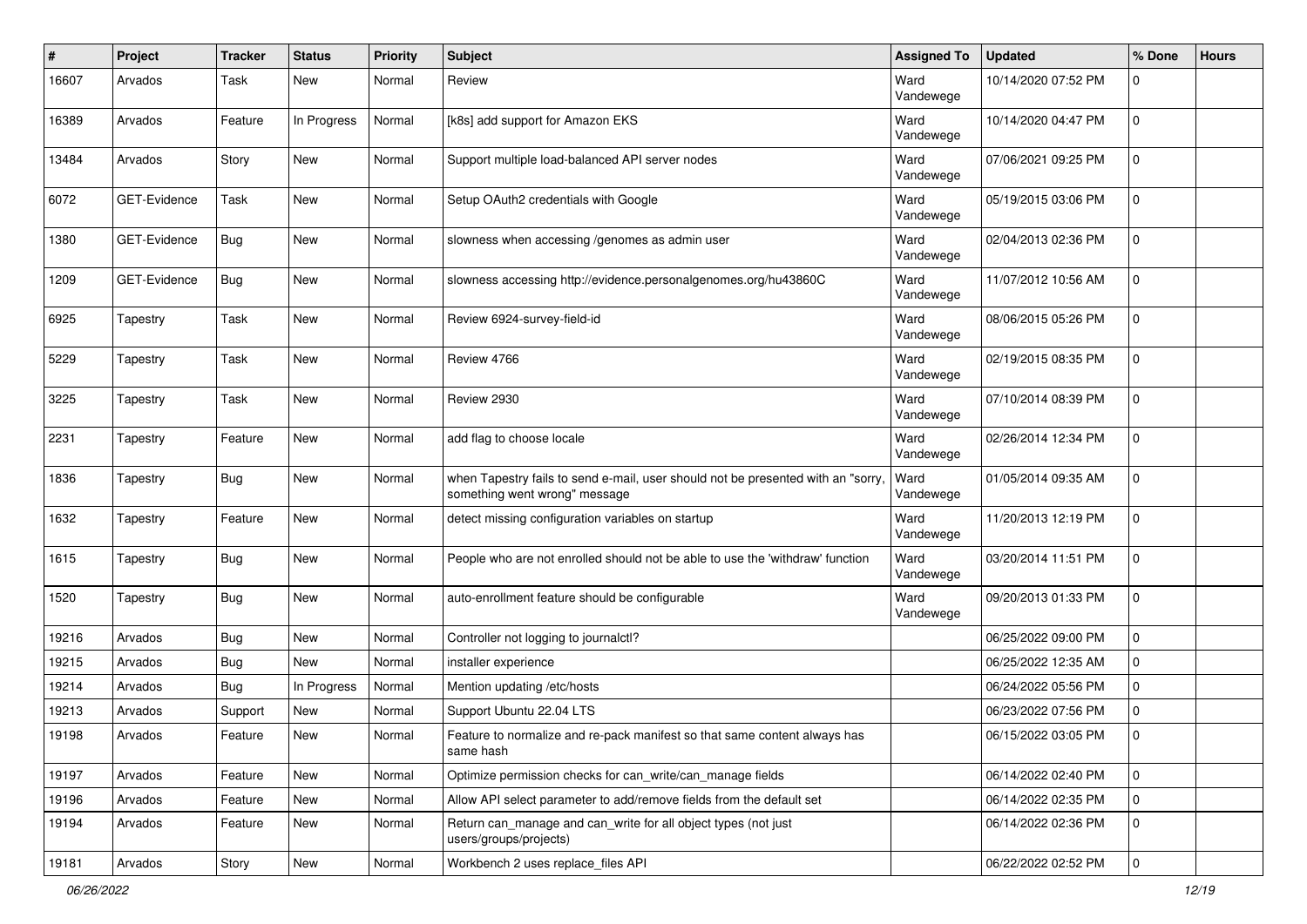| #     | Project             | <b>Tracker</b> | <b>Status</b> | Priority | Subject                                                                                                          | <b>Assigned To</b> | <b>Updated</b>      | % Done       | <b>Hours</b> |
|-------|---------------------|----------------|---------------|----------|------------------------------------------------------------------------------------------------------------------|--------------------|---------------------|--------------|--------------|
| 16607 | Arvados             | Task           | New           | Normal   | Review                                                                                                           | Ward<br>Vandewege  | 10/14/2020 07:52 PM | 0            |              |
| 16389 | Arvados             | Feature        | In Progress   | Normal   | [k8s] add support for Amazon EKS                                                                                 | Ward<br>Vandewege  | 10/14/2020 04:47 PM | 0            |              |
| 13484 | Arvados             | Story          | New           | Normal   | Support multiple load-balanced API server nodes                                                                  | Ward<br>Vandewege  | 07/06/2021 09:25 PM | 0            |              |
| 6072  | GET-Evidence        | Task           | New           | Normal   | Setup OAuth2 credentials with Google                                                                             | Ward<br>Vandewege  | 05/19/2015 03:06 PM | $\mathbf 0$  |              |
| 1380  | GET-Evidence        | Bug            | <b>New</b>    | Normal   | slowness when accessing /genomes as admin user                                                                   | Ward<br>Vandewege  | 02/04/2013 02:36 PM | 0            |              |
| 1209  | <b>GET-Evidence</b> | Bug            | <b>New</b>    | Normal   | slowness accessing http://evidence.personalgenomes.org/hu43860C                                                  | Ward<br>Vandewege  | 11/07/2012 10:56 AM | 0            |              |
| 6925  | Tapestry            | Task           | <b>New</b>    | Normal   | Review 6924-survey-field-id                                                                                      | Ward<br>Vandewege  | 08/06/2015 05:26 PM | 0            |              |
| 5229  | Tapestry            | Task           | New           | Normal   | Review 4766                                                                                                      | Ward<br>Vandewege  | 02/19/2015 08:35 PM | 0            |              |
| 3225  | Tapestry            | Task           | <b>New</b>    | Normal   | Review 2930                                                                                                      | Ward<br>Vandewege  | 07/10/2014 08:39 PM | 0            |              |
| 2231  | Tapestry            | Feature        | <b>New</b>    | Normal   | add flag to choose locale                                                                                        | Ward<br>Vandewege  | 02/26/2014 12:34 PM | 0            |              |
| 1836  | Tapestry            | Bug            | New           | Normal   | when Tapestry fails to send e-mail, user should not be presented with an "sorry<br>something went wrong" message | Ward<br>Vandewege  | 01/05/2014 09:35 AM | 0            |              |
| 1632  | Tapestry            | Feature        | New           | Normal   | detect missing configuration variables on startup                                                                | Ward<br>Vandewege  | 11/20/2013 12:19 PM | 0            |              |
| 1615  | Tapestry            | Bug            | New           | Normal   | People who are not enrolled should not be able to use the 'withdraw' function                                    | Ward<br>Vandewege  | 03/20/2014 11:51 PM | 0            |              |
| 1520  | Tapestry            | Bug            | <b>New</b>    | Normal   | auto-enrollment feature should be configurable                                                                   | Ward<br>Vandewege  | 09/20/2013 01:33 PM | 0            |              |
| 19216 | Arvados             | Bug            | New           | Normal   | Controller not logging to journalctl?                                                                            |                    | 06/25/2022 09:00 PM | 0            |              |
| 19215 | Arvados             | Bug            | <b>New</b>    | Normal   | installer experience                                                                                             |                    | 06/25/2022 12:35 AM | 0            |              |
| 19214 | Arvados             | Bug            | In Progress   | Normal   | Mention updating /etc/hosts                                                                                      |                    | 06/24/2022 05:56 PM | 0            |              |
| 19213 | Arvados             | Support        | <b>New</b>    | Normal   | Support Ubuntu 22.04 LTS                                                                                         |                    | 06/23/2022 07:56 PM | 0            |              |
| 19198 | Arvados             | Feature        | New           | Normal   | Feature to normalize and re-pack manifest so that same content always has<br>same hash                           |                    | 06/15/2022 03:05 PM | $\mathbf 0$  |              |
| 19197 | Arvados             | Feature        | New           | Normal   | Optimize permission checks for can_write/can_manage fields                                                       |                    | 06/14/2022 02:40 PM | $\mathsf{O}$ |              |
| 19196 | Arvados             | Feature        | New           | Normal   | Allow API select parameter to add/remove fields from the default set                                             |                    | 06/14/2022 02:35 PM | $\mathbf 0$  |              |
| 19194 | Arvados             | Feature        | New           | Normal   | Return can_manage and can_write for all object types (not just<br>users/groups/projects)                         |                    | 06/14/2022 02:36 PM | 0            |              |
| 19181 | Arvados             | Story          | New           | Normal   | Workbench 2 uses replace files API                                                                               |                    | 06/22/2022 02:52 PM | 0            |              |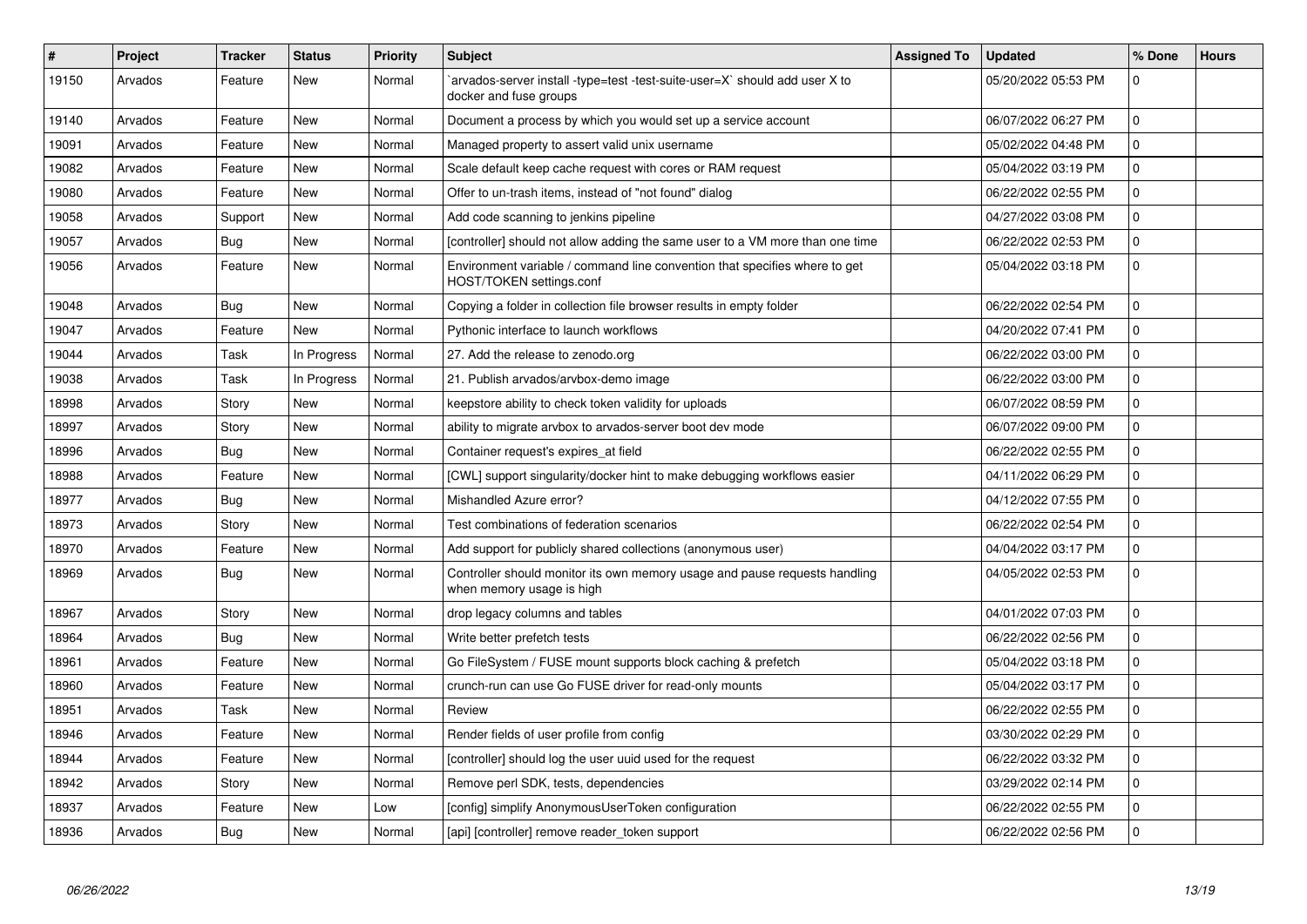| #     | Project | <b>Tracker</b> | <b>Status</b> | <b>Priority</b> | <b>Subject</b>                                                                                          | <b>Assigned To</b> | <b>Updated</b>      | % Done         | <b>Hours</b> |
|-------|---------|----------------|---------------|-----------------|---------------------------------------------------------------------------------------------------------|--------------------|---------------------|----------------|--------------|
| 19150 | Arvados | Feature        | New           | Normal          | arvados-server install -type=test -test-suite-user=X` should add user X to<br>docker and fuse groups    |                    | 05/20/2022 05:53 PM | 0              |              |
| 19140 | Arvados | Feature        | New           | Normal          | Document a process by which you would set up a service account                                          |                    | 06/07/2022 06:27 PM | 0              |              |
| 19091 | Arvados | Feature        | New           | Normal          | Managed property to assert valid unix username                                                          |                    | 05/02/2022 04:48 PM | 0              |              |
| 19082 | Arvados | Feature        | New           | Normal          | Scale default keep cache request with cores or RAM request                                              |                    | 05/04/2022 03:19 PM | 0              |              |
| 19080 | Arvados | Feature        | <b>New</b>    | Normal          | Offer to un-trash items, instead of "not found" dialog                                                  |                    | 06/22/2022 02:55 PM | 0              |              |
| 19058 | Arvados | Support        | New           | Normal          | Add code scanning to jenkins pipeline                                                                   |                    | 04/27/2022 03:08 PM | 0              |              |
| 19057 | Arvados | <b>Bug</b>     | <b>New</b>    | Normal          | [controller] should not allow adding the same user to a VM more than one time                           |                    | 06/22/2022 02:53 PM | 0              |              |
| 19056 | Arvados | Feature        | New           | Normal          | Environment variable / command line convention that specifies where to get<br>HOST/TOKEN settings.conf  |                    | 05/04/2022 03:18 PM | 0              |              |
| 19048 | Arvados | Bug            | <b>New</b>    | Normal          | Copying a folder in collection file browser results in empty folder                                     |                    | 06/22/2022 02:54 PM | 0              |              |
| 19047 | Arvados | Feature        | <b>New</b>    | Normal          | Pythonic interface to launch workflows                                                                  |                    | 04/20/2022 07:41 PM | 0              |              |
| 19044 | Arvados | Task           | In Progress   | Normal          | 27. Add the release to zenodo.org                                                                       |                    | 06/22/2022 03:00 PM | 0              |              |
| 19038 | Arvados | Task           | In Progress   | Normal          | 21. Publish arvados/arvbox-demo image                                                                   |                    | 06/22/2022 03:00 PM | 0              |              |
| 18998 | Arvados | Story          | <b>New</b>    | Normal          | keepstore ability to check token validity for uploads                                                   |                    | 06/07/2022 08:59 PM | 0              |              |
| 18997 | Arvados | Story          | New           | Normal          | ability to migrate arvbox to arvados-server boot dev mode                                               |                    | 06/07/2022 09:00 PM | $\overline{0}$ |              |
| 18996 | Arvados | Bug            | <b>New</b>    | Normal          | Container request's expires_at field                                                                    |                    | 06/22/2022 02:55 PM | 0              |              |
| 18988 | Arvados | Feature        | <b>New</b>    | Normal          | [CWL] support singularity/docker hint to make debugging workflows easier                                |                    | 04/11/2022 06:29 PM | $\overline{0}$ |              |
| 18977 | Arvados | <b>Bug</b>     | <b>New</b>    | Normal          | Mishandled Azure error?                                                                                 |                    | 04/12/2022 07:55 PM | 0              |              |
| 18973 | Arvados | Story          | New           | Normal          | Test combinations of federation scenarios                                                               |                    | 06/22/2022 02:54 PM | 0              |              |
| 18970 | Arvados | Feature        | New           | Normal          | Add support for publicly shared collections (anonymous user)                                            |                    | 04/04/2022 03:17 PM | 0              |              |
| 18969 | Arvados | Bug            | New           | Normal          | Controller should monitor its own memory usage and pause requests handling<br>when memory usage is high |                    | 04/05/2022 02:53 PM | $\Omega$       |              |
| 18967 | Arvados | Story          | <b>New</b>    | Normal          | drop legacy columns and tables                                                                          |                    | 04/01/2022 07:03 PM | 0              |              |
| 18964 | Arvados | Bug            | New           | Normal          | Write better prefetch tests                                                                             |                    | 06/22/2022 02:56 PM | $\overline{0}$ |              |
| 18961 | Arvados | Feature        | <b>New</b>    | Normal          | Go FileSystem / FUSE mount supports block caching & prefetch                                            |                    | 05/04/2022 03:18 PM | 0              |              |
| 18960 | Arvados | Feature        | New           | Normal          | crunch-run can use Go FUSE driver for read-only mounts                                                  |                    | 05/04/2022 03:17 PM | $\overline{0}$ |              |
| 18951 | Arvados | Task           | New           | Normal          | Review                                                                                                  |                    | 06/22/2022 02:55 PM | 0              |              |
| 18946 | Arvados | Feature        | New           | Normal          | Render fields of user profile from config                                                               |                    | 03/30/2022 02:29 PM | 0              |              |
| 18944 | Arvados | Feature        | New           | Normal          | [controller] should log the user uuid used for the request                                              |                    | 06/22/2022 03:32 PM | 0              |              |
| 18942 | Arvados | Story          | New           | Normal          | Remove perl SDK, tests, dependencies                                                                    |                    | 03/29/2022 02:14 PM | 0              |              |
| 18937 | Arvados | Feature        | New           | Low             | [config] simplify AnonymousUserToken configuration                                                      |                    | 06/22/2022 02:55 PM | 0              |              |
| 18936 | Arvados | <b>Bug</b>     | <b>New</b>    | Normal          | [api] [controller] remove reader_token support                                                          |                    | 06/22/2022 02:56 PM | 0              |              |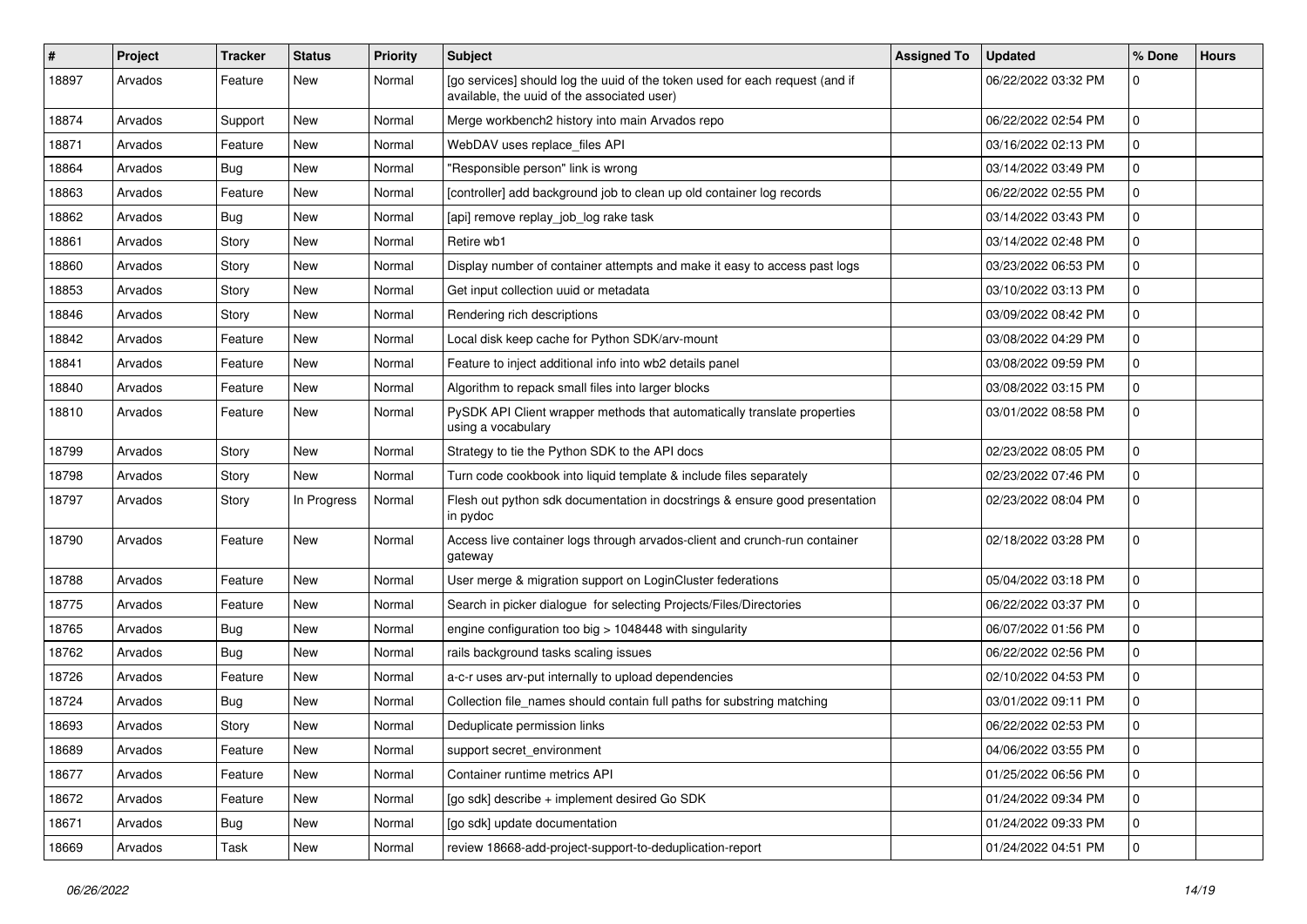| ∦     | Project | <b>Tracker</b> | <b>Status</b> | <b>Priority</b> | <b>Subject</b>                                                                                                              | <b>Assigned To</b> | <b>Updated</b>      | % Done      | <b>Hours</b> |
|-------|---------|----------------|---------------|-----------------|-----------------------------------------------------------------------------------------------------------------------------|--------------------|---------------------|-------------|--------------|
| 18897 | Arvados | Feature        | New           | Normal          | [go services] should log the uuid of the token used for each request (and if<br>available, the uuid of the associated user) |                    | 06/22/2022 03:32 PM | 0           |              |
| 18874 | Arvados | Support        | New           | Normal          | Merge workbench2 history into main Arvados repo                                                                             |                    | 06/22/2022 02:54 PM | $\mathbf 0$ |              |
| 18871 | Arvados | Feature        | New           | Normal          | WebDAV uses replace_files API                                                                                               |                    | 03/16/2022 02:13 PM | 0           |              |
| 18864 | Arvados | Bug            | New           | Normal          | "Responsible person" link is wrong                                                                                          |                    | 03/14/2022 03:49 PM | 0           |              |
| 18863 | Arvados | Feature        | New           | Normal          | [controller] add background job to clean up old container log records                                                       |                    | 06/22/2022 02:55 PM | 0           |              |
| 18862 | Arvados | Bug            | New           | Normal          | [api] remove replay_job_log rake task                                                                                       |                    | 03/14/2022 03:43 PM | 0           |              |
| 18861 | Arvados | Story          | New           | Normal          | Retire wb1                                                                                                                  |                    | 03/14/2022 02:48 PM | 0           |              |
| 18860 | Arvados | Story          | New           | Normal          | Display number of container attempts and make it easy to access past logs                                                   |                    | 03/23/2022 06:53 PM | 0           |              |
| 18853 | Arvados | Story          | New           | Normal          | Get input collection uuid or metadata                                                                                       |                    | 03/10/2022 03:13 PM | 0           |              |
| 18846 | Arvados | Story          | New           | Normal          | Rendering rich descriptions                                                                                                 |                    | 03/09/2022 08:42 PM | 0           |              |
| 18842 | Arvados | Feature        | New           | Normal          | Local disk keep cache for Python SDK/arv-mount                                                                              |                    | 03/08/2022 04:29 PM | 0           |              |
| 18841 | Arvados | Feature        | New           | Normal          | Feature to inject additional info into wb2 details panel                                                                    |                    | 03/08/2022 09:59 PM | 0           |              |
| 18840 | Arvados | Feature        | New           | Normal          | Algorithm to repack small files into larger blocks                                                                          |                    | 03/08/2022 03:15 PM | 0           |              |
| 18810 | Arvados | Feature        | New           | Normal          | PySDK API Client wrapper methods that automatically translate properties<br>using a vocabulary                              |                    | 03/01/2022 08:58 PM | 0           |              |
| 18799 | Arvados | Story          | New           | Normal          | Strategy to tie the Python SDK to the API docs                                                                              |                    | 02/23/2022 08:05 PM | 0           |              |
| 18798 | Arvados | Story          | <b>New</b>    | Normal          | Turn code cookbook into liquid template & include files separately                                                          |                    | 02/23/2022 07:46 PM | 0           |              |
| 18797 | Arvados | Story          | In Progress   | Normal          | Flesh out python sdk documentation in docstrings & ensure good presentation<br>in pydoc                                     |                    | 02/23/2022 08:04 PM | 0           |              |
| 18790 | Arvados | Feature        | New           | Normal          | Access live container logs through arvados-client and crunch-run container<br>gateway                                       |                    | 02/18/2022 03:28 PM | 0           |              |
| 18788 | Arvados | Feature        | <b>New</b>    | Normal          | User merge & migration support on LoginCluster federations                                                                  |                    | 05/04/2022 03:18 PM | 0           |              |
| 18775 | Arvados | Feature        | New           | Normal          | Search in picker dialogue for selecting Projects/Files/Directories                                                          |                    | 06/22/2022 03:37 PM | 0           |              |
| 18765 | Arvados | Bug            | New           | Normal          | engine configuration too big > 1048448 with singularity                                                                     |                    | 06/07/2022 01:56 PM | 0           |              |
| 18762 | Arvados | Bug            | New           | Normal          | rails background tasks scaling issues                                                                                       |                    | 06/22/2022 02:56 PM | 0           |              |
| 18726 | Arvados | Feature        | New           | Normal          | a-c-r uses arv-put internally to upload dependencies                                                                        |                    | 02/10/2022 04:53 PM | 0           |              |
| 18724 | Arvados | Bug            | New           | Normal          | Collection file_names should contain full paths for substring matching                                                      |                    | 03/01/2022 09:11 PM | 0           |              |
| 18693 | Arvados | Story          | New           | Normal          | Deduplicate permission links                                                                                                |                    | 06/22/2022 02:53 PM | 0           |              |
| 18689 | Arvados | Feature        | New           | Normal          | support secret_environment                                                                                                  |                    | 04/06/2022 03:55 PM | $\mathbf 0$ |              |
| 18677 | Arvados | Feature        | New           | Normal          | Container runtime metrics API                                                                                               |                    | 01/25/2022 06:56 PM | 0           |              |
| 18672 | Arvados | Feature        | New           | Normal          | [go sdk] describe + implement desired Go SDK                                                                                |                    | 01/24/2022 09:34 PM | 0           |              |
| 18671 | Arvados | <b>Bug</b>     | <b>New</b>    | Normal          | [go sdk] update documentation                                                                                               |                    | 01/24/2022 09:33 PM | 0           |              |
| 18669 | Arvados | Task           | New           | Normal          | review 18668-add-project-support-to-deduplication-report                                                                    |                    | 01/24/2022 04:51 PM | 0           |              |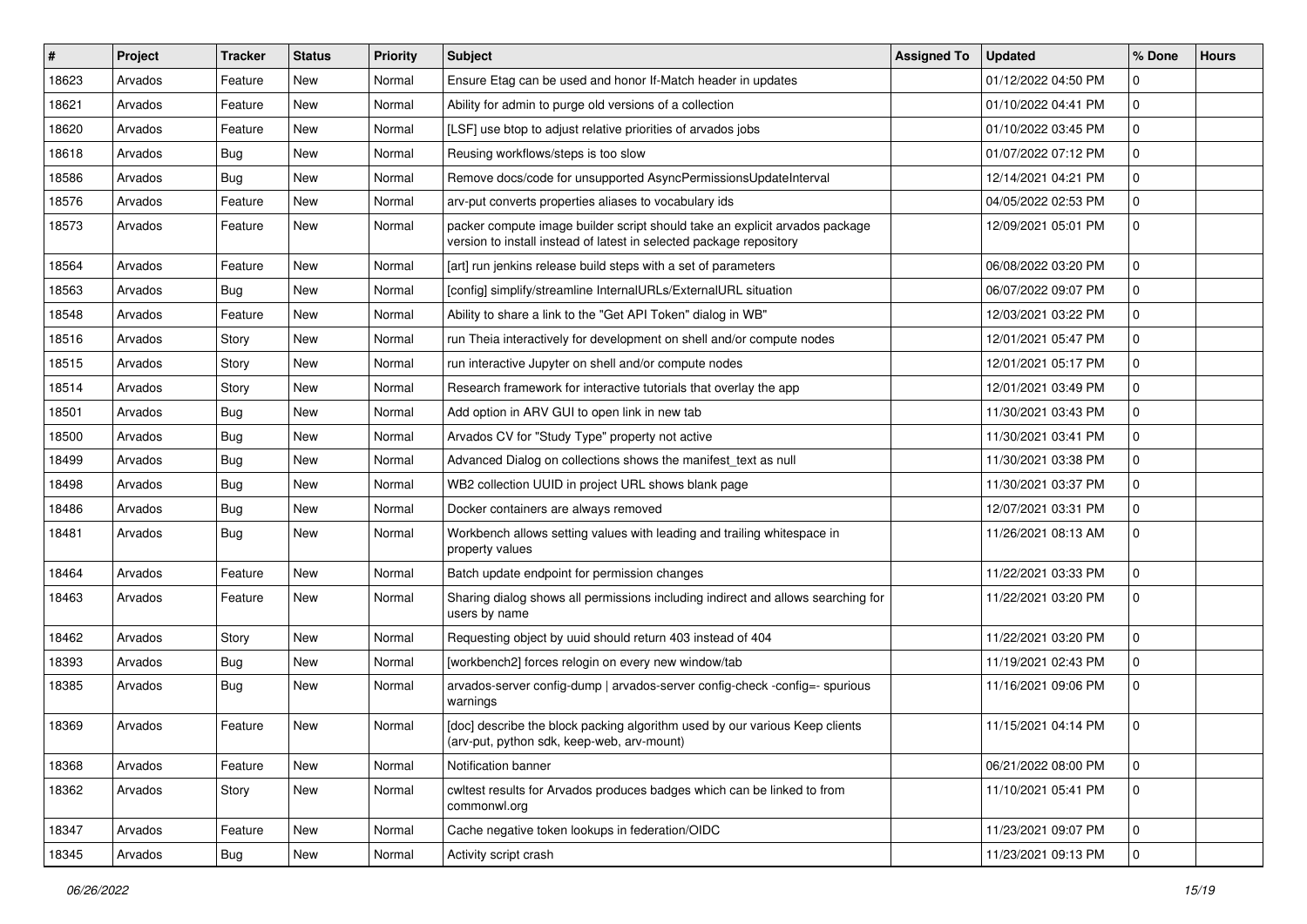| $\#$  | Project | <b>Tracker</b> | <b>Status</b> | <b>Priority</b> | Subject                                                                                                                                            | <b>Assigned To</b> | <b>Updated</b>      | % Done      | <b>Hours</b> |
|-------|---------|----------------|---------------|-----------------|----------------------------------------------------------------------------------------------------------------------------------------------------|--------------------|---------------------|-------------|--------------|
| 18623 | Arvados | Feature        | <b>New</b>    | Normal          | Ensure Etag can be used and honor If-Match header in updates                                                                                       |                    | 01/12/2022 04:50 PM | 0           |              |
| 18621 | Arvados | Feature        | <b>New</b>    | Normal          | Ability for admin to purge old versions of a collection                                                                                            |                    | 01/10/2022 04:41 PM | 0           |              |
| 18620 | Arvados | Feature        | <b>New</b>    | Normal          | [LSF] use btop to adjust relative priorities of arvados jobs                                                                                       |                    | 01/10/2022 03:45 PM | 0           |              |
| 18618 | Arvados | Bug            | <b>New</b>    | Normal          | Reusing workflows/steps is too slow                                                                                                                |                    | 01/07/2022 07:12 PM | 0           |              |
| 18586 | Arvados | Bug            | <b>New</b>    | Normal          | Remove docs/code for unsupported AsyncPermissionsUpdateInterval                                                                                    |                    | 12/14/2021 04:21 PM | 0           |              |
| 18576 | Arvados | Feature        | <b>New</b>    | Normal          | arv-put converts properties aliases to vocabulary ids                                                                                              |                    | 04/05/2022 02:53 PM | 0           |              |
| 18573 | Arvados | Feature        | <b>New</b>    | Normal          | packer compute image builder script should take an explicit arvados package<br>version to install instead of latest in selected package repository |                    | 12/09/2021 05:01 PM | 0           |              |
| 18564 | Arvados | Feature        | <b>New</b>    | Normal          | [art] run jenkins release build steps with a set of parameters                                                                                     |                    | 06/08/2022 03:20 PM | 0           |              |
| 18563 | Arvados | Bug            | <b>New</b>    | Normal          | [config] simplify/streamline InternalURLs/ExternalURL situation                                                                                    |                    | 06/07/2022 09:07 PM | 0           |              |
| 18548 | Arvados | Feature        | <b>New</b>    | Normal          | Ability to share a link to the "Get API Token" dialog in WB"                                                                                       |                    | 12/03/2021 03:22 PM | 0           |              |
| 18516 | Arvados | Story          | <b>New</b>    | Normal          | run Theia interactively for development on shell and/or compute nodes                                                                              |                    | 12/01/2021 05:47 PM | 0           |              |
| 18515 | Arvados | Story          | <b>New</b>    | Normal          | run interactive Jupyter on shell and/or compute nodes                                                                                              |                    | 12/01/2021 05:17 PM | 0           |              |
| 18514 | Arvados | Story          | <b>New</b>    | Normal          | Research framework for interactive tutorials that overlay the app                                                                                  |                    | 12/01/2021 03:49 PM | 0           |              |
| 18501 | Arvados | Bug            | <b>New</b>    | Normal          | Add option in ARV GUI to open link in new tab                                                                                                      |                    | 11/30/2021 03:43 PM | 0           |              |
| 18500 | Arvados | Bug            | <b>New</b>    | Normal          | Arvados CV for "Study Type" property not active                                                                                                    |                    | 11/30/2021 03:41 PM | 0           |              |
| 18499 | Arvados | Bug            | <b>New</b>    | Normal          | Advanced Dialog on collections shows the manifest text as null                                                                                     |                    | 11/30/2021 03:38 PM | 0           |              |
| 18498 | Arvados | Bug            | New           | Normal          | WB2 collection UUID in project URL shows blank page                                                                                                |                    | 11/30/2021 03:37 PM | 0           |              |
| 18486 | Arvados | Bug            | <b>New</b>    | Normal          | Docker containers are always removed                                                                                                               |                    | 12/07/2021 03:31 PM | 0           |              |
| 18481 | Arvados | Bug            | <b>New</b>    | Normal          | Workbench allows setting values with leading and trailing whitespace in<br>property values                                                         |                    | 11/26/2021 08:13 AM | 0           |              |
| 18464 | Arvados | Feature        | <b>New</b>    | Normal          | Batch update endpoint for permission changes                                                                                                       |                    | 11/22/2021 03:33 PM | 0           |              |
| 18463 | Arvados | Feature        | <b>New</b>    | Normal          | Sharing dialog shows all permissions including indirect and allows searching for<br>users by name                                                  |                    | 11/22/2021 03:20 PM | 0           |              |
| 18462 | Arvados | Story          | <b>New</b>    | Normal          | Requesting object by uuid should return 403 instead of 404                                                                                         |                    | 11/22/2021 03:20 PM | 0           |              |
| 18393 | Arvados | Bug            | <b>New</b>    | Normal          | [workbench2] forces relogin on every new window/tab                                                                                                |                    | 11/19/2021 02:43 PM | 0           |              |
| 18385 | Arvados | Bug            | <b>New</b>    | Normal          | arvados-server config-dump   arvados-server config-check -config=- spurious<br>warnings                                                            |                    | 11/16/2021 09:06 PM | 0           |              |
| 18369 | Arvados | Feature        | <b>New</b>    | Normal          | [doc] describe the block packing algorithm used by our various Keep clients<br>(arv-put, python sdk, keep-web, arv-mount)                          |                    | 11/15/2021 04:14 PM | 0           |              |
| 18368 | Arvados | Feature        | New           | Normal          | Notification banner                                                                                                                                |                    | 06/21/2022 08:00 PM | 0           |              |
| 18362 | Arvados | Story          | New           | Normal          | cwltest results for Arvados produces badges which can be linked to from<br>commonwl.org                                                            |                    | 11/10/2021 05:41 PM | $\mathbf 0$ |              |
| 18347 | Arvados | Feature        | New           | Normal          | Cache negative token lookups in federation/OIDC                                                                                                    |                    | 11/23/2021 09:07 PM | 0           |              |
| 18345 | Arvados | <b>Bug</b>     | New           | Normal          | Activity script crash                                                                                                                              |                    | 11/23/2021 09:13 PM | $\mathbf 0$ |              |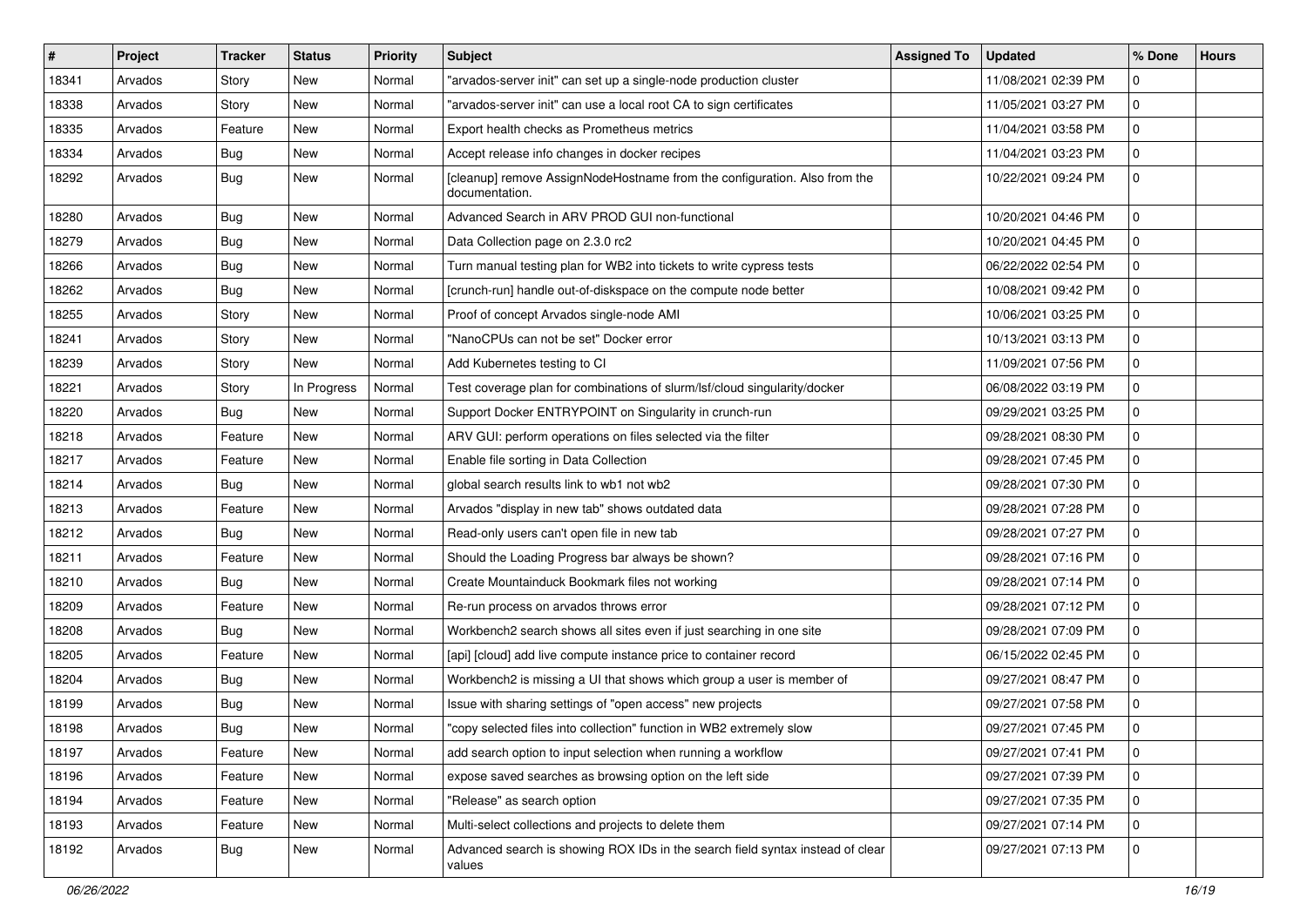| $\sharp$ | Project | <b>Tracker</b> | <b>Status</b> | <b>Priority</b> | <b>Subject</b>                                                                              | <b>Assigned To</b> | <b>Updated</b>      | % Done      | <b>Hours</b> |
|----------|---------|----------------|---------------|-----------------|---------------------------------------------------------------------------------------------|--------------------|---------------------|-------------|--------------|
| 18341    | Arvados | Story          | New           | Normal          | "arvados-server init" can set up a single-node production cluster                           |                    | 11/08/2021 02:39 PM | 0           |              |
| 18338    | Arvados | Story          | <b>New</b>    | Normal          | "arvados-server init" can use a local root CA to sign certificates                          |                    | 11/05/2021 03:27 PM | 0           |              |
| 18335    | Arvados | Feature        | <b>New</b>    | Normal          | Export health checks as Prometheus metrics                                                  |                    | 11/04/2021 03:58 PM | 0           |              |
| 18334    | Arvados | Bug            | New           | Normal          | Accept release info changes in docker recipes                                               |                    | 11/04/2021 03:23 PM | 0           |              |
| 18292    | Arvados | <b>Bug</b>     | New           | Normal          | [cleanup] remove AssignNodeHostname from the configuration. Also from the<br>documentation. |                    | 10/22/2021 09:24 PM | 0           |              |
| 18280    | Arvados | Bug            | <b>New</b>    | Normal          | Advanced Search in ARV PROD GUI non-functional                                              |                    | 10/20/2021 04:46 PM | $\mathbf 0$ |              |
| 18279    | Arvados | <b>Bug</b>     | New           | Normal          | Data Collection page on 2.3.0 rc2                                                           |                    | 10/20/2021 04:45 PM | 0           |              |
| 18266    | Arvados | <b>Bug</b>     | New           | Normal          | Turn manual testing plan for WB2 into tickets to write cypress tests                        |                    | 06/22/2022 02:54 PM | 0           |              |
| 18262    | Arvados | <b>Bug</b>     | New           | Normal          | [crunch-run] handle out-of-diskspace on the compute node better                             |                    | 10/08/2021 09:42 PM | 0           |              |
| 18255    | Arvados | Story          | <b>New</b>    | Normal          | Proof of concept Arvados single-node AMI                                                    |                    | 10/06/2021 03:25 PM | 0           |              |
| 18241    | Arvados | Story          | New           | Normal          | "NanoCPUs can not be set" Docker error                                                      |                    | 10/13/2021 03:13 PM | 0           |              |
| 18239    | Arvados | Story          | <b>New</b>    | Normal          | Add Kubernetes testing to CI                                                                |                    | 11/09/2021 07:56 PM | 0           |              |
| 18221    | Arvados | Story          | In Progress   | Normal          | Test coverage plan for combinations of slurm/lsf/cloud singularity/docker                   |                    | 06/08/2022 03:19 PM | 0           |              |
| 18220    | Arvados | <b>Bug</b>     | New           | Normal          | Support Docker ENTRYPOINT on Singularity in crunch-run                                      |                    | 09/29/2021 03:25 PM | 0           |              |
| 18218    | Arvados | Feature        | <b>New</b>    | Normal          | ARV GUI: perform operations on files selected via the filter                                |                    | 09/28/2021 08:30 PM | 0           |              |
| 18217    | Arvados | Feature        | New           | Normal          | Enable file sorting in Data Collection                                                      |                    | 09/28/2021 07:45 PM | 0           |              |
| 18214    | Arvados | <b>Bug</b>     | <b>New</b>    | Normal          | global search results link to wb1 not wb2                                                   |                    | 09/28/2021 07:30 PM | 0           |              |
| 18213    | Arvados | Feature        | New           | Normal          | Arvados "display in new tab" shows outdated data                                            |                    | 09/28/2021 07:28 PM | 0           |              |
| 18212    | Arvados | Bug            | <b>New</b>    | Normal          | Read-only users can't open file in new tab                                                  |                    | 09/28/2021 07:27 PM | 0           |              |
| 18211    | Arvados | Feature        | <b>New</b>    | Normal          | Should the Loading Progress bar always be shown?                                            |                    | 09/28/2021 07:16 PM | 0           |              |
| 18210    | Arvados | Bug            | <b>New</b>    | Normal          | Create Mountainduck Bookmark files not working                                              |                    | 09/28/2021 07:14 PM | 0           |              |
| 18209    | Arvados | Feature        | New           | Normal          | Re-run process on arvados throws error                                                      |                    | 09/28/2021 07:12 PM | 0           |              |
| 18208    | Arvados | Bug            | New           | Normal          | Workbench2 search shows all sites even if just searching in one site                        |                    | 09/28/2021 07:09 PM | 0           |              |
| 18205    | Arvados | Feature        | <b>New</b>    | Normal          | [api] [cloud] add live compute instance price to container record                           |                    | 06/15/2022 02:45 PM | 0           |              |
| 18204    | Arvados | <b>Bug</b>     | New           | Normal          | Workbench2 is missing a UI that shows which group a user is member of                       |                    | 09/27/2021 08:47 PM | 0           |              |
| 18199    | Arvados | <b>Bug</b>     | New           | Normal          | Issue with sharing settings of "open access" new projects                                   |                    | 09/27/2021 07:58 PM | 0           |              |
| 18198    | Arvados | <b>Bug</b>     | New           | Normal          | "copy selected files into collection" function in WB2 extremely slow                        |                    | 09/27/2021 07:45 PM | 0           |              |
| 18197    | Arvados | Feature        | New           | Normal          | add search option to input selection when running a workflow                                |                    | 09/27/2021 07:41 PM | $\mathbf 0$ |              |
| 18196    | Arvados | Feature        | <b>New</b>    | Normal          | expose saved searches as browsing option on the left side                                   |                    | 09/27/2021 07:39 PM | 0           |              |
| 18194    | Arvados | Feature        | New           | Normal          | "Release" as search option                                                                  |                    | 09/27/2021 07:35 PM | 0           |              |
| 18193    | Arvados | Feature        | <b>New</b>    | Normal          | Multi-select collections and projects to delete them                                        |                    | 09/27/2021 07:14 PM | 0           |              |
| 18192    | Arvados | Bug            | New           | Normal          | Advanced search is showing ROX IDs in the search field syntax instead of clear<br>values    |                    | 09/27/2021 07:13 PM | 0           |              |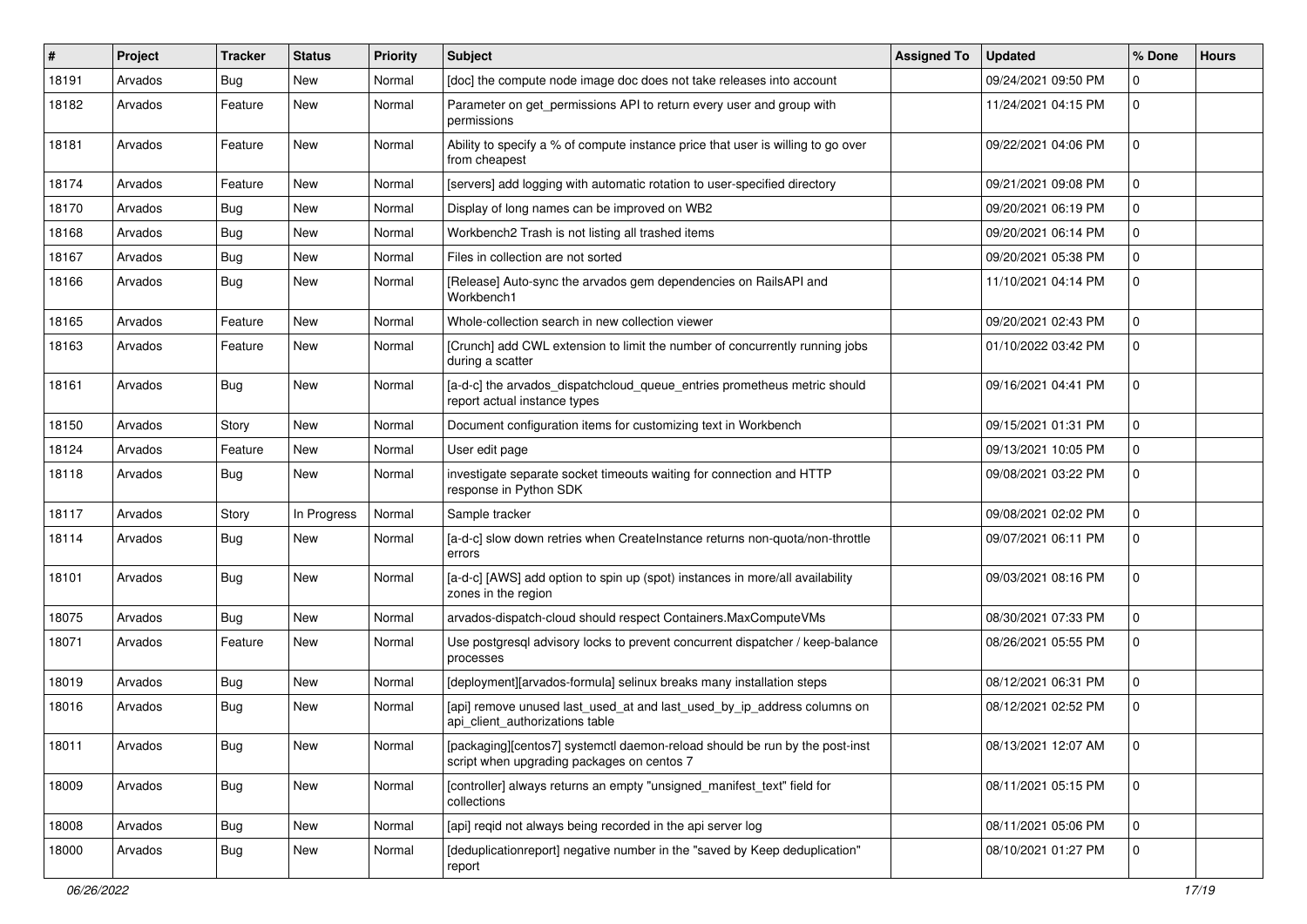| $\sharp$ | Project | <b>Tracker</b> | <b>Status</b> | <b>Priority</b> | <b>Subject</b>                                                                                                            | <b>Assigned To</b> | <b>Updated</b>      | % Done         | <b>Hours</b> |
|----------|---------|----------------|---------------|-----------------|---------------------------------------------------------------------------------------------------------------------------|--------------------|---------------------|----------------|--------------|
| 18191    | Arvados | Bug            | New           | Normal          | [doc] the compute node image doc does not take releases into account                                                      |                    | 09/24/2021 09:50 PM | 0              |              |
| 18182    | Arvados | Feature        | New           | Normal          | Parameter on get_permissions API to return every user and group with<br>permissions                                       |                    | 11/24/2021 04:15 PM | $\mathbf 0$    |              |
| 18181    | Arvados | Feature        | <b>New</b>    | Normal          | Ability to specify a % of compute instance price that user is willing to go over<br>from cheapest                         |                    | 09/22/2021 04:06 PM | $\Omega$       |              |
| 18174    | Arvados | Feature        | <b>New</b>    | Normal          | [servers] add logging with automatic rotation to user-specified directory                                                 |                    | 09/21/2021 09:08 PM | 0              |              |
| 18170    | Arvados | Bug            | New           | Normal          | Display of long names can be improved on WB2                                                                              |                    | 09/20/2021 06:19 PM | 0              |              |
| 18168    | Arvados | Bug            | New           | Normal          | Workbench2 Trash is not listing all trashed items                                                                         |                    | 09/20/2021 06:14 PM | 0              |              |
| 18167    | Arvados | Bug            | New           | Normal          | Files in collection are not sorted                                                                                        |                    | 09/20/2021 05:38 PM | 0              |              |
| 18166    | Arvados | Bug            | <b>New</b>    | Normal          | [Release] Auto-sync the arvados gem dependencies on RailsAPI and<br>Workbench1                                            |                    | 11/10/2021 04:14 PM | $\mathbf 0$    |              |
| 18165    | Arvados | Feature        | <b>New</b>    | Normal          | Whole-collection search in new collection viewer                                                                          |                    | 09/20/2021 02:43 PM | 0              |              |
| 18163    | Arvados | Feature        | New           | Normal          | [Crunch] add CWL extension to limit the number of concurrently running jobs<br>during a scatter                           |                    | 01/10/2022 03:42 PM | $\Omega$       |              |
| 18161    | Arvados | Bug            | New           | Normal          | [a-d-c] the arvados_dispatchcloud_queue_entries prometheus metric should<br>report actual instance types                  |                    | 09/16/2021 04:41 PM | $\Omega$       |              |
| 18150    | Arvados | Story          | <b>New</b>    | Normal          | Document configuration items for customizing text in Workbench                                                            |                    | 09/15/2021 01:31 PM | $\Omega$       |              |
| 18124    | Arvados | Feature        | <b>New</b>    | Normal          | User edit page                                                                                                            |                    | 09/13/2021 10:05 PM | 0              |              |
| 18118    | Arvados | Bug            | New           | Normal          | investigate separate socket timeouts waiting for connection and HTTP<br>response in Python SDK                            |                    | 09/08/2021 03:22 PM | 0              |              |
| 18117    | Arvados | Story          | In Progress   | Normal          | Sample tracker                                                                                                            |                    | 09/08/2021 02:02 PM | $\mathbf 0$    |              |
| 18114    | Arvados | Bug            | New           | Normal          | [a-d-c] slow down retries when CreateInstance returns non-quota/non-throttle<br>errors                                    |                    | 09/07/2021 06:11 PM | 0              |              |
| 18101    | Arvados | Bug            | <b>New</b>    | Normal          | [a-d-c] [AWS] add option to spin up (spot) instances in more/all availability<br>zones in the region                      |                    | 09/03/2021 08:16 PM | $\mathbf 0$    |              |
| 18075    | Arvados | Bug            | <b>New</b>    | Normal          | arvados-dispatch-cloud should respect Containers.MaxComputeVMs                                                            |                    | 08/30/2021 07:33 PM | $\mathbf 0$    |              |
| 18071    | Arvados | Feature        | New           | Normal          | Use postgresql advisory locks to prevent concurrent dispatcher / keep-balance<br>processes                                |                    | 08/26/2021 05:55 PM | 0              |              |
| 18019    | Arvados | Bug            | <b>New</b>    | Normal          | [deployment][arvados-formula] selinux breaks many installation steps                                                      |                    | 08/12/2021 06:31 PM | $\mathbf 0$    |              |
| 18016    | Arvados | Bug            | New           | Normal          | [api] remove unused last_used_at and last_used_by_ip_address columns on<br>api_client_authorizations table                |                    | 08/12/2021 02:52 PM | $\mathbf 0$    |              |
| 18011    | Arvados | Bug            | New           | Normal          | [packaging][centos7] systemctl daemon-reload should be run by the post-inst<br>script when upgrading packages on centos 7 |                    | 08/13/2021 12:07 AM | l 0            |              |
| 18009    | Arvados | Bug            | New           | Normal          | [controller] always returns an empty "unsigned_manifest_text" field for<br>collections                                    |                    | 08/11/2021 05:15 PM | $\overline{0}$ |              |
| 18008    | Arvados | Bug            | New           | Normal          | [api] reqid not always being recorded in the api server log                                                               |                    | 08/11/2021 05:06 PM | $\Omega$       |              |
| 18000    | Arvados | Bug            | New           | Normal          | [deduplicationreport] negative number in the "saved by Keep deduplication"<br>report                                      |                    | 08/10/2021 01:27 PM | $\overline{0}$ |              |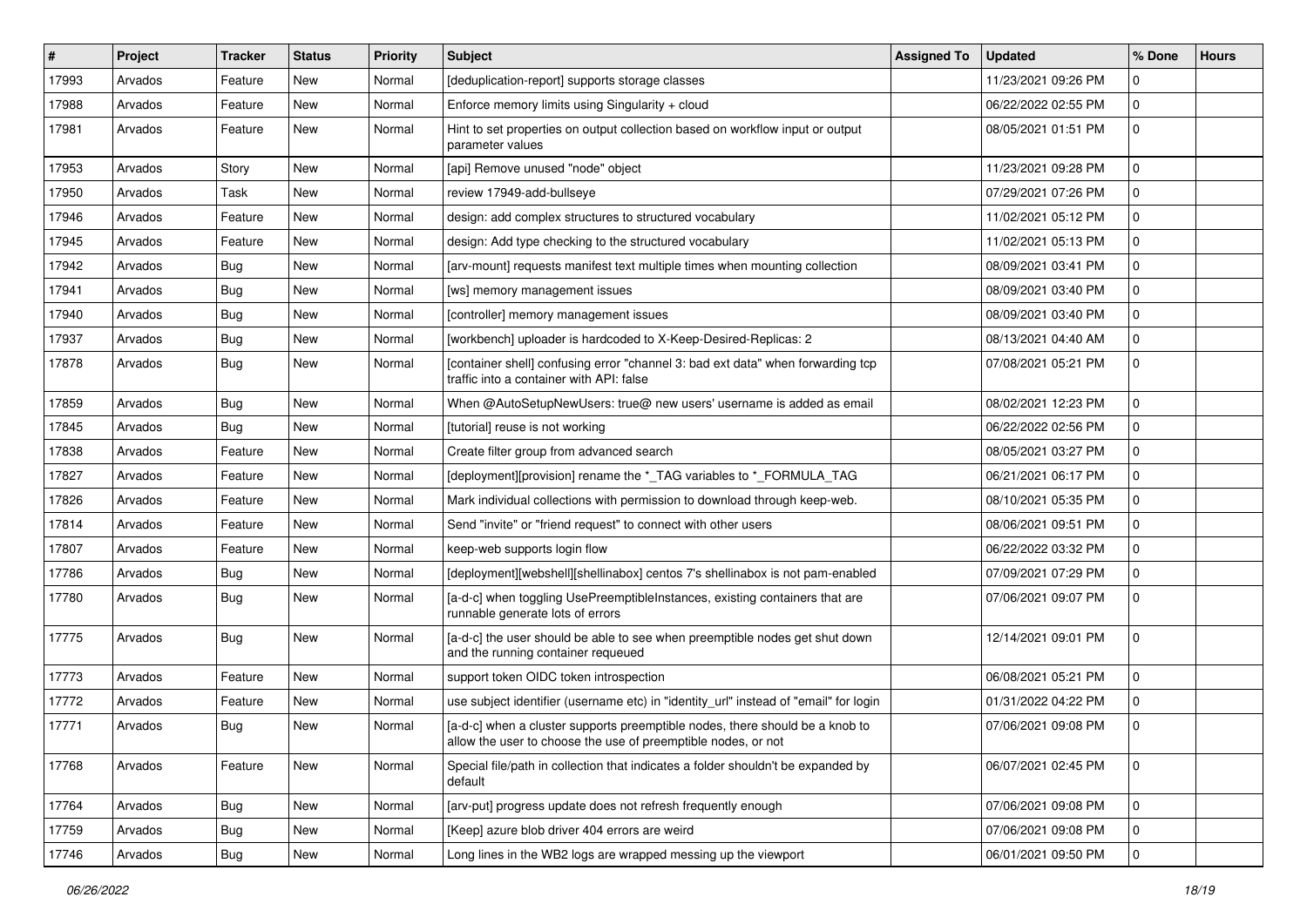| $\sharp$ | Project | <b>Tracker</b> | <b>Status</b> | <b>Priority</b> | <b>Subject</b>                                                                                                                                | <b>Assigned To</b> | <b>Updated</b>      | % Done      | <b>Hours</b> |
|----------|---------|----------------|---------------|-----------------|-----------------------------------------------------------------------------------------------------------------------------------------------|--------------------|---------------------|-------------|--------------|
| 17993    | Arvados | Feature        | New           | Normal          | [deduplication-report] supports storage classes                                                                                               |                    | 11/23/2021 09:26 PM | 0           |              |
| 17988    | Arvados | Feature        | <b>New</b>    | Normal          | Enforce memory limits using Singularity + cloud                                                                                               |                    | 06/22/2022 02:55 PM | 0           |              |
| 17981    | Arvados | Feature        | New           | Normal          | Hint to set properties on output collection based on workflow input or output<br>parameter values                                             |                    | 08/05/2021 01:51 PM | 0           |              |
| 17953    | Arvados | Story          | <b>New</b>    | Normal          | [api] Remove unused "node" object                                                                                                             |                    | 11/23/2021 09:28 PM | 0           |              |
| 17950    | Arvados | Task           | New           | Normal          | review 17949-add-bullseye                                                                                                                     |                    | 07/29/2021 07:26 PM | 0           |              |
| 17946    | Arvados | Feature        | New           | Normal          | design: add complex structures to structured vocabulary                                                                                       |                    | 11/02/2021 05:12 PM | 0           |              |
| 17945    | Arvados | Feature        | <b>New</b>    | Normal          | design: Add type checking to the structured vocabulary                                                                                        |                    | 11/02/2021 05:13 PM | 0           |              |
| 17942    | Arvados | Bug            | New           | Normal          | [arv-mount] requests manifest text multiple times when mounting collection                                                                    |                    | 08/09/2021 03:41 PM | 0           |              |
| 17941    | Arvados | Bug            | <b>New</b>    | Normal          | [ws] memory management issues                                                                                                                 |                    | 08/09/2021 03:40 PM | 0           |              |
| 17940    | Arvados | Bug            | New           | Normal          | [controller] memory management issues                                                                                                         |                    | 08/09/2021 03:40 PM | 0           |              |
| 17937    | Arvados | Bug            | New           | Normal          | [workbench] uploader is hardcoded to X-Keep-Desired-Replicas: 2                                                                               |                    | 08/13/2021 04:40 AM | 0           |              |
| 17878    | Arvados | Bug            | New           | Normal          | [container shell] confusing error "channel 3: bad ext data" when forwarding tcp<br>traffic into a container with API: false                   |                    | 07/08/2021 05:21 PM | 0           |              |
| 17859    | Arvados | Bug            | <b>New</b>    | Normal          | When @AutoSetupNewUsers: true@ new users' username is added as email                                                                          |                    | 08/02/2021 12:23 PM | 0           |              |
| 17845    | Arvados | Bug            | New           | Normal          | [tutorial] reuse is not working                                                                                                               |                    | 06/22/2022 02:56 PM | 0           |              |
| 17838    | Arvados | Feature        | New           | Normal          | Create filter group from advanced search                                                                                                      |                    | 08/05/2021 03:27 PM | 0           |              |
| 17827    | Arvados | Feature        | <b>New</b>    | Normal          | [deployment][provision] rename the *_TAG variables to *_FORMULA_TAG                                                                           |                    | 06/21/2021 06:17 PM | 0           |              |
| 17826    | Arvados | Feature        | New           | Normal          | Mark individual collections with permission to download through keep-web.                                                                     |                    | 08/10/2021 05:35 PM | 0           |              |
| 17814    | Arvados | Feature        | <b>New</b>    | Normal          | Send "invite" or "friend request" to connect with other users                                                                                 |                    | 08/06/2021 09:51 PM | 0           |              |
| 17807    | Arvados | Feature        | New           | Normal          | keep-web supports login flow                                                                                                                  |                    | 06/22/2022 03:32 PM | 0           |              |
| 17786    | Arvados | Bug            | New           | Normal          | [deployment][webshell][shellinabox] centos 7's shellinabox is not pam-enabled                                                                 |                    | 07/09/2021 07:29 PM | 0           |              |
| 17780    | Arvados | Bug            | New           | Normal          | [a-d-c] when toggling UsePreemptibleInstances, existing containers that are<br>runnable generate lots of errors                               |                    | 07/06/2021 09:07 PM | 0           |              |
| 17775    | Arvados | Bug            | New           | Normal          | [a-d-c] the user should be able to see when preemptible nodes get shut down<br>and the running container requeued                             |                    | 12/14/2021 09:01 PM | 0           |              |
| 17773    | Arvados | Feature        | <b>New</b>    | Normal          | support token OIDC token introspection                                                                                                        |                    | 06/08/2021 05:21 PM | 0           |              |
| 17772    | Arvados | Feature        | New           | Normal          | use subject identifier (username etc) in "identity_url" instead of "email" for login                                                          |                    | 01/31/2022 04:22 PM | 0           |              |
| 17771    | Arvados | Bug            | New           | Normal          | [a-d-c] when a cluster supports preemptible nodes, there should be a knob to<br>allow the user to choose the use of preemptible nodes, or not |                    | 07/06/2021 09:08 PM | 0           |              |
| 17768    | Arvados | Feature        | New           | Normal          | Special file/path in collection that indicates a folder shouldn't be expanded by<br>default                                                   |                    | 06/07/2021 02:45 PM | $\mathbf 0$ |              |
| 17764    | Arvados | <b>Bug</b>     | New           | Normal          | [arv-put] progress update does not refresh frequently enough                                                                                  |                    | 07/06/2021 09:08 PM | 0           |              |
| 17759    | Arvados | Bug            | New           | Normal          | [Keep] azure blob driver 404 errors are weird                                                                                                 |                    | 07/06/2021 09:08 PM | 0           |              |
| 17746    | Arvados | Bug            | New           | Normal          | Long lines in the WB2 logs are wrapped messing up the viewport                                                                                |                    | 06/01/2021 09:50 PM | 0           |              |